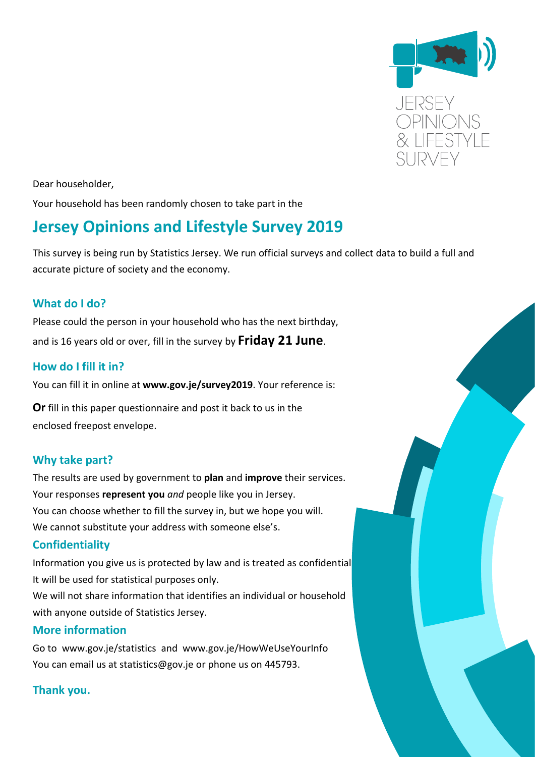

Dear householder,

Your household has been randomly chosen to take part in the

# **Jersey Opinions and Lifestyle Survey 2019**

This survey is being run by Statistics Jersey. We run official surveys and collect data to build a full and accurate picture of society and the economy.

### **What do I do?**

Please could the person in your household who has the next birthday, and is 16 years old or over, fill in the survey by **Friday 21 June**.

### **How do I fill it in?**

You can fill it in online at **www.gov.je/survey2019**. Your reference is:

**Or** fill in this paper questionnaire and post it back to us in the enclosed freepost envelope.

### **Why take part?**

The results are used by government to **plan** and **improve** their services. Your responses **represent you** *and* people like you in Jersey. You can choose whether to fill the survey in, but we hope you will. We cannot substitute your address with someone else's.

### **Confidentiality**

Information you give us is protected by law and is treated as confidential. It will be used for statistical purposes only.

We will not share information that identifies an individual or household with anyone outside of Statistics Jersey.

### **More information**

Go to www.gov.je/statistics and www.gov.je/HowWeUseYourInfo You can email us at statistics@gov.je or phone us on 445793.

### **Thank you.**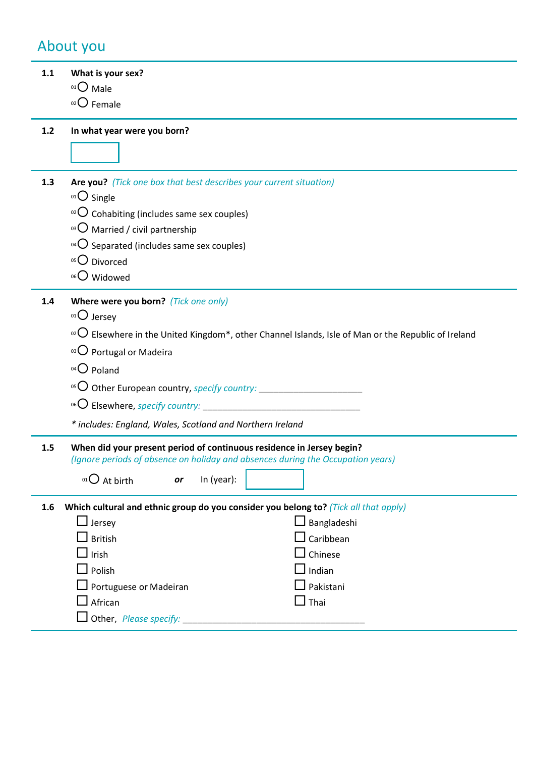## About you

| 1.1   | What is your sex?                                                                                                                   |
|-------|-------------------------------------------------------------------------------------------------------------------------------------|
|       | $01O$ Male                                                                                                                          |
|       | $02$ Female                                                                                                                         |
|       |                                                                                                                                     |
| $1.2$ | In what year were you born?                                                                                                         |
|       |                                                                                                                                     |
|       |                                                                                                                                     |
| 1.3   | Are you? (Tick one box that best describes your current situation)                                                                  |
|       | 01 O Single                                                                                                                         |
|       | $\rm{^{02}O}$ Cohabiting (includes same sex couples)                                                                                |
|       | <sup>03</sup> $\bigcirc$ Married / civil partnership                                                                                |
|       | $\Omega$ Separated (includes same sex couples)                                                                                      |
|       | 05 Divorced                                                                                                                         |
|       | 06 Widowed                                                                                                                          |
| 1.4   | Where were you born? (Tick one only)                                                                                                |
|       | $0101$ Jersey                                                                                                                       |
|       | $\circ$ <sup>2</sup> O Elsewhere in the United Kingdom <sup>*</sup> , other Channel Islands, Isle of Man or the Republic of Ireland |
|       | 03 O Portugal or Madeira                                                                                                            |
|       | 04 O Poland                                                                                                                         |
|       |                                                                                                                                     |
|       |                                                                                                                                     |
|       | <sup>06</sup> O Elsewhere, <i>specify country:</i>                                                                                  |
|       | * includes: England, Wales, Scotland and Northern Ireland                                                                           |
| 1.5   | When did your present period of continuous residence in Jersey begin?                                                               |
|       | (Ignore periods of absence on holiday and absences during the Occupation years)                                                     |
|       | In (year):<br>$01O$ At birth<br>or                                                                                                  |
|       |                                                                                                                                     |
| 1.6   | Which cultural and ethnic group do you consider you belong to? (Tick all that apply)<br>$\Box$ Jersey<br>$\Box$ Bangladeshi         |
|       | Caribbean<br><b>British</b>                                                                                                         |
|       | $\perp$ Irish<br>Chinese                                                                                                            |
|       | $\Box$ Indian<br>$\Box$ Polish                                                                                                      |
|       | $\Box$ Pakistani<br>$\Box$ Portuguese or Madeiran                                                                                   |
|       | African<br>$\Box$ Thai                                                                                                              |
|       | Other, Please specify:                                                                                                              |
|       |                                                                                                                                     |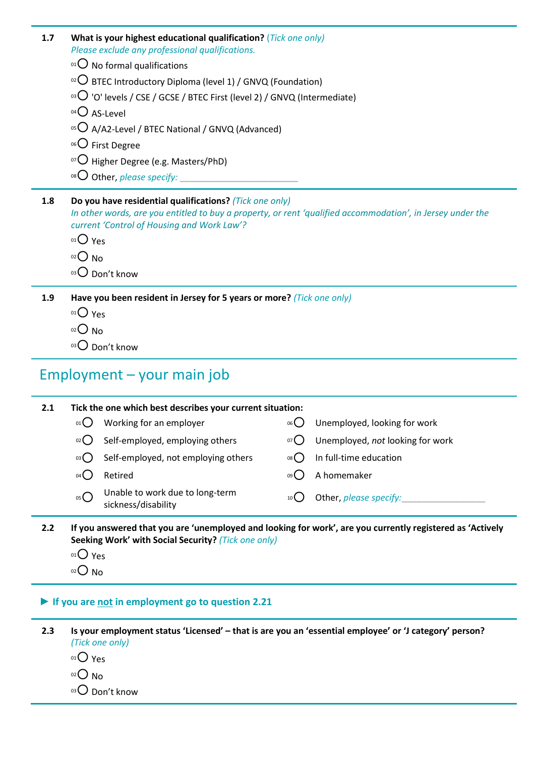| 1.7 | What is your highest educational qualification? (Tick one only)<br>Please exclude any professional qualifications.                                       |
|-----|----------------------------------------------------------------------------------------------------------------------------------------------------------|
|     | $^{01}$ No formal qualifications                                                                                                                         |
|     | <sup>02</sup> $\bigcirc$ BTEC Introductory Diploma (level 1) / GNVQ (Foundation)                                                                         |
|     | <sup>03</sup> $\bigcirc$ 'O' levels / CSE / GCSE / BTEC First (level 2) / GNVQ (Intermediate)                                                            |
|     | $04O$ AS-Level                                                                                                                                           |
|     | $^{05}$ O A/A2-Level / BTEC National / GNVQ (Advanced)                                                                                                   |
|     | <sup>06</sup> $\bigcirc$ First Degree                                                                                                                    |
|     | $\overline{O}$ Higher Degree (e.g. Masters/PhD)                                                                                                          |
|     |                                                                                                                                                          |
|     |                                                                                                                                                          |
| 1.8 | Do you have residential qualifications? (Tick one only)                                                                                                  |
|     | In other words, are you entitled to buy a property, or rent 'qualified accommodation', in Jersey under the<br>current 'Control of Housing and Work Law'? |
|     | $01O$ Yes                                                                                                                                                |
|     | $O02$ No                                                                                                                                                 |
|     | 03 O Don't know                                                                                                                                          |
| 1.9 | Have you been resident in Jersey for 5 years or more? (Tick one only)                                                                                    |
|     | $01O$ Yes                                                                                                                                                |

03 Don't know

# Employment – your main job

| 2.1 |      | Tick the one which best describes your current situation: |                 |                                  |
|-----|------|-----------------------------------------------------------|-----------------|----------------------------------|
|     | 01() | Working for an employer                                   | $06($ )         | Unemployed, looking for work     |
|     | 02() | Self-employed, employing others                           | 07()            | Unemployed, not looking for work |
|     | 03() | Self-employed, not employing others                       | 08()            | In full-time education           |
|     | 04 ( | Retired                                                   | 09 <sup>°</sup> | A homemaker                      |
|     | 05   | Unable to work due to long-term<br>sickness/disability    | 10 <sup>l</sup> | Other, please specify:           |

- **2.2 If you answered that you are 'unemployed and looking for work', are you currently registered as 'Actively Seeking Work' with Social Security?** *(Tick one only)*
	- $01O$  Yes
	- $O<sub>02</sub>$  No

### **► If you are not in employment go to question 2.21**

**2.3 Is your employment status 'Licensed' – that is are you an 'essential employee' or 'J category' person?** *(Tick one only)*

- $01$  Yes
- $O<sub>02</sub>$  No

03 Don't know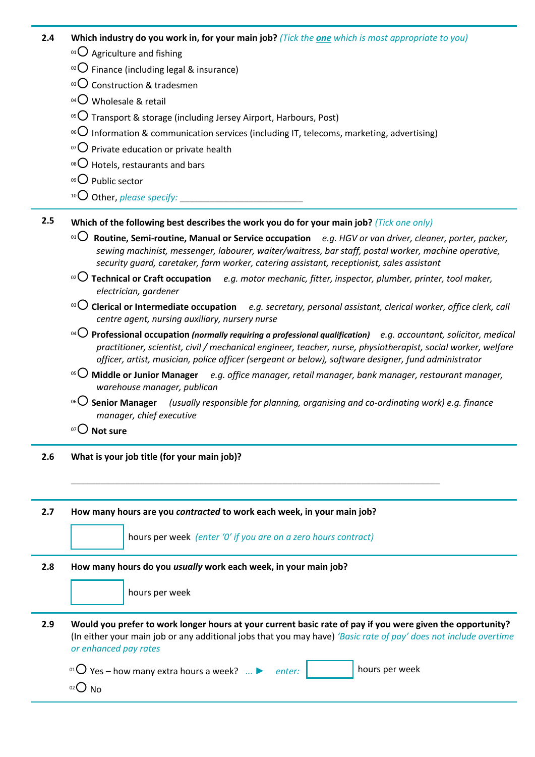| 2.4 | <b>Which industry do you work in, for your main job?</b> (Tick the <b>one</b> which is most appropriate to you) |  |  |  |
|-----|-----------------------------------------------------------------------------------------------------------------|--|--|--|
|-----|-----------------------------------------------------------------------------------------------------------------|--|--|--|

- $01$  Agriculture and fishing
- $\circ$ <sup>2</sup>O Finance (including legal & insurance)
- $03$  Construction & tradesmen
- $^{04}$ O Wholesale & retail
- <sup>05</sup> $\bigcirc$  Transport & storage (including Jersey Airport, Harbours, Post)
- <sup>06</sup> Information & communication services (including IT, telecoms, marketing, advertising)
- $\overline{07}$  Private education or private health
- $08$  Hotels, restaurants and bars
- $09$  Public sector
- <sup>10</sup>O Other, *please specify:*
- **2.5 Which of the following best describes the work you do for your main job?** *(Tick one only)*
	- <sup>01</sup> **Routine, Semi-routine, Manual or Service occupation** *e.g. HGV or van driver, cleaner, porter, packer, sewing machinist, messenger, labourer, waiter/waitress, bar staff, postal worker, machine operative, security guard, caretaker, farm worker, catering assistant, receptionist, sales assistant*
	- <sup>02</sup> **Technical or Craft occupation** *e.g. motor mechanic, fitter, inspector, plumber, printer, tool maker, electrician, gardener*
	- <sup>03</sup> **Clerical or Intermediate occupation** *e.g. secretary, personal assistant, clerical worker, office clerk, call centre agent, nursing auxiliary, nursery nurse*
	- <sup>04</sup> **Professional occupation** *(normally requiring a professional qualification) e.g. accountant, solicitor, medical practitioner, scientist, civil / mechanical engineer, teacher, nurse, physiotherapist, social worker, welfare officer, artist, musician, police officer (sergeant or below), software designer, fund administrator*
	- <sup>05</sup> **Middle or Junior Manager** *e.g. office manager, retail manager, bank manager, restaurant manager, warehouse manager, publican*
	- <sup>06</sup> **Senior Manager** *(usually responsible for planning, organising and co-ordinating work) e.g. finance manager, chief executive*
	- <sup>07</sup> **Not sure**
- **2.6 What is your job title (for your main job)?**

**2.7 How many hours are you** *contracted* **to work each week, in your main job?** 



**\_\_\_\_\_\_\_\_\_\_\_\_\_\_\_\_\_\_\_\_\_\_\_\_\_\_\_\_\_\_\_\_\_\_\_\_\_\_\_\_\_\_\_\_\_\_\_\_\_\_\_\_\_\_\_\_\_\_\_\_\_\_\_\_\_\_\_\_\_\_\_\_\_\_\_**

| በን ነ | N٥ |
|------|----|
|------|----|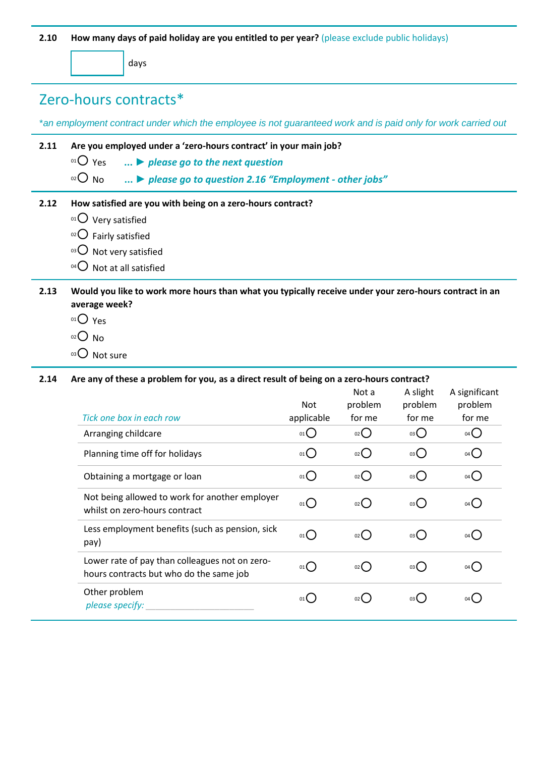**2.10 How many days of paid holiday are you entitled to per year?** (please exclude public holidays)

days

## Zero-hours contracts\*

\**an employment contract under which the employee is not guaranteed work and is paid only for work carried out*

- **2.11 Are you employed under a 'zero-hours contract' in your main job?**
	- <sup>01</sup> Yes **...** *► please go to the next question*

<sup>02</sup> No **...** *► please go to question 2.16 "Employment - other jobs"*

### **2.12 How satisfied are you with being on a zero-hours contract?**

- $01$  Very satisfied
- $02$  Fairly satisfied
- $03$  Not very satisfied
- $^{04}$  Not at all satisfied

### **2.13 Would you like to work more hours than what you typically receive under your zero-hours contract in an average week?**

- $01O$  Yes
- $O<sub>02</sub>$  No
- 03 Not sure

**2.14 Are any of these a problem for you, as a direct result of being on a zero-hours contract?** 

|                                                                                           | <b>Not</b> | Not a<br>problem    | A slight<br>problem | A significant<br>problem          |
|-------------------------------------------------------------------------------------------|------------|---------------------|---------------------|-----------------------------------|
| Tick one box in each row                                                                  | applicable | for me              | for me              | for me                            |
| Arranging childcare                                                                       | $_{01}()$  | 02()                | 03                  | O(4)                              |
| Planning time off for holidays                                                            | $_{01}O$   | $_{02}$ ()          | 03()                | $04$ $\bigcirc$                   |
| Obtaining a mortgage or loan                                                              | $_{01}()$  | $_{02}$ ()          | 03                  | $04$ $\bigcirc$                   |
| Not being allowed to work for another employer<br>whilst on zero-hours contract           | $_{01}()$  | $02$ $\binom{1}{2}$ | 03                  | 04(                               |
| Less employment benefits (such as pension, sick<br>pay)                                   | $_{01}()$  | 02 <sup>2</sup>     | 03                  | $04$ (                            |
| Lower rate of pay than colleagues not on zero-<br>hours contracts but who do the same job | $_{01}()$  | $02$ $\left($       | 03                  | $04$ <sup><math>\sim</math></sup> |
| Other problem<br>please specify:                                                          | 01()       | $02$ (              | 03                  |                                   |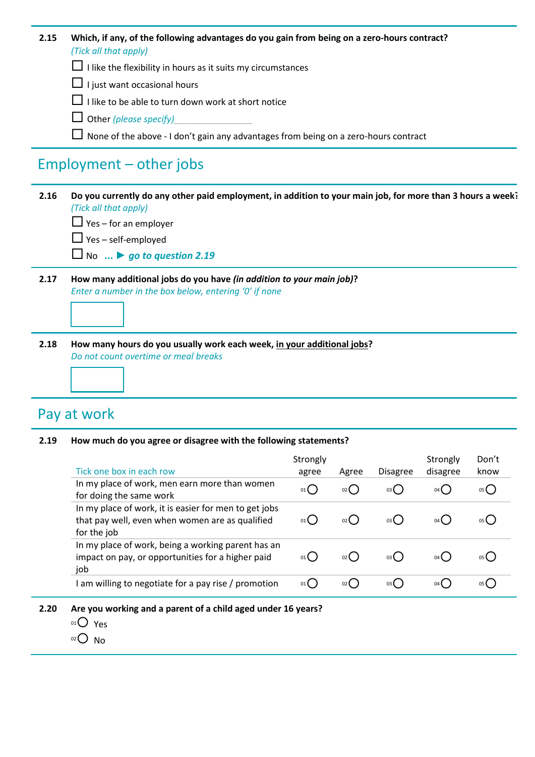| 2.15 | Which, if any, of the following advantages do you gain from being on a zero-hours contract? |
|------|---------------------------------------------------------------------------------------------|
|      | (Tick all that apply)                                                                       |

- $\Box$  I like the flexibility in hours as it suits my circumstances
- $\Box$  I just want occasional hours
- $\Box$  I like to be able to turn down work at short notice
- Other *(please specify)\_\_\_\_\_\_\_\_\_\_\_\_\_\_\_\_*
- $\Box$  None of the above I don't gain any advantages from being on a zero-hours contract

### Employment – other jobs

- **2.16 Do you currently do any other paid employment, in addition to your main job, for more than 3 hours a week?** *(Tick all that apply)*
	- $\Box$  Yes for an employer
	- $\Box$  Yes self-employed
	- No **...** *► go to question 2.19*
- **2.17 How many additional jobs do you have** *(in addition to your main job)***?** *Enter a number in the box below, entering '0' if none*



**2.18 How many hours do you usually work each week, in your additional jobs?**  *Do not count overtime or meal breaks*

### Pay at work

**2.19 How much do you agree or disagree with the following statements?**

| Tick one box in each row                                                                                                | Strongly<br>agree | Agree | <b>Disagree</b> | Strongly<br>disagree | Don't<br>know |
|-------------------------------------------------------------------------------------------------------------------------|-------------------|-------|-----------------|----------------------|---------------|
| In my place of work, men earn more than women<br>for doing the same work                                                | 01()              | 02 (  | 03()            | 04 <sup>1</sup>      | 05(           |
| In my place of work, it is easier for men to get jobs<br>that pay well, even when women are as qualified<br>for the job | 01                | 02 L  | 03(             | $04$ (               |               |
| In my place of work, being a working parent has an<br>impact on pay, or opportunities for a higher paid<br>job          | 01                | 02 C  | 03(             | 04 (                 |               |
| am willing to negotiate for a pay rise / promotion                                                                      | $01$ $\left($     | 02 L  | 03(             | 04 (                 |               |

- **2.20 Are you working and a parent of a child aged under 16 years?**
	- $01$  Yes
	- $O<sub>02</sub>$  No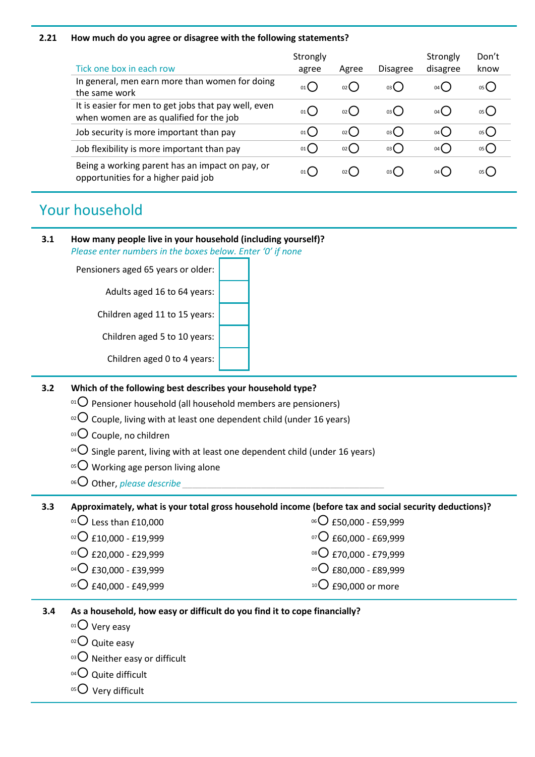#### **2.21 How much do you agree or disagree with the following statements?**

| Tick one box in each row                                                                        | Strongly<br>agree | Agree | <b>Disagree</b> | Strongly<br>disagree | Don't<br>know |
|-------------------------------------------------------------------------------------------------|-------------------|-------|-----------------|----------------------|---------------|
| In general, men earn more than women for doing<br>the same work                                 | 01()              | 02(   | 03(             | 04 (                 | 05(           |
| It is easier for men to get jobs that pay well, even<br>when women are as qualified for the job | 01()              | 02(   | 03(             | $04$ (               | 05()          |
| Job security is more important than pay                                                         | 01()              | 02()  | 03(             | $04$ (               | 05()          |
| Job flexibility is more important than pay                                                      | 01()              | 02()  | 03(             | $04$ $\binom{1}{2}$  | 05()          |
| Being a working parent has an impact on pay, or<br>opportunities for a higher paid job          | 01                | 02(   | 03(             | 04 (                 | 05(           |

## Your household

#### **3.1 How many people live in your household (including yourself)?** *Please enter numbers in the boxes below. Enter '0' if none*

Pensioners aged 65 years or older:

Adults aged 16 to 64 years:

Children aged 11 to 15 years:

Children aged 5 to 10 years:

Children aged 0 to 4 years:

### **3.2 Which of the following best describes your household type?**

- $01$  Pensioner household (all household members are pensioners)
- $\,^{\circ2}$  Couple, living with at least one dependent child (under 16 years)
- $03$  Couple, no children
- <sup>04</sup> $\bigcirc$  Single parent, living with at least one dependent child (under 16 years)
- $05$  Working age person living alone
- $106$  Other, *please describe*

### **3.3 Approximately, what is your total gross household income (before tax and social security deductions)?**

 $01$  Less than £10,000 06 <sup>06</sup> C £50,000 - £59,999  $02$  £10,000 - £19,999  $07$  £60,000 - £69,999  $^{03}$  $O$  £20,000 - £29,999 <sup>08</sup> £70,000 - £79,999  $^{04}$ O £30,000 - £39,999 <sup>09</sup>○ £80,000 - £89,999  $05$  £40,000 - £49,999  $10$  £90,000 or more

### **3.4 As a household, how easy or difficult do you find it to cope financially?**

- $01$  Very easy
- $02$  Quite easy
- $03$  Neither easy or difficult
- $04$  Quite difficult
- $05$  Very difficult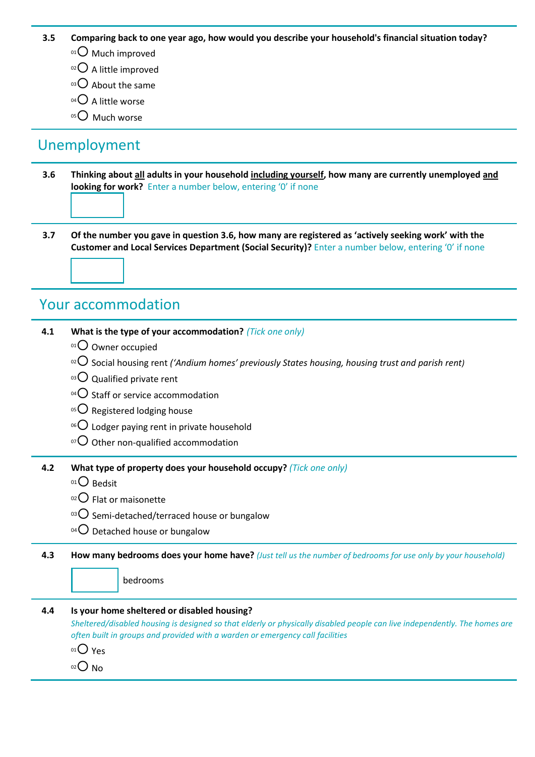#### **3.5 Comparing back to one year ago, how would you describe your household's financial situation today?**

- 01 O Much improved
- $02$  A little improved
- $03$  About the same
- $04$  A little worse
- 05<sup>O</sup> Much worse

### Unemployment

**3.6 Thinking about all adults in your household including yourself, how many are currently unemployed and looking for work?** Enter a number below, entering '0' if none

**3.7 Of the number you gave in question 3.6, how many are registered as 'actively seeking work' with the Customer and Local Services Department (Social Security)?** Enter a number below, entering '0' if none

### Your accommodation

|     | $\alpha$ Social housing rent ('Andium homes' previously States housing, housing trust and parish rent)                     |
|-----|----------------------------------------------------------------------------------------------------------------------------|
|     |                                                                                                                            |
|     | $\mathrm{^{03}O}$ Qualified private rent                                                                                   |
|     | <sup>04</sup> $\bigcirc$ Staff or service accommodation                                                                    |
|     | <sup>05</sup> $\bigcirc$ Registered lodging house                                                                          |
|     | <sup>06</sup> $\bigcirc$ Lodger paying rent in private household                                                           |
|     | $\overline{O}$ Other non-qualified accommodation                                                                           |
| 4.2 | What type of property does your household occupy? (Tick one only)                                                          |
|     | 01 Bedsit                                                                                                                  |
|     | $^{02}$ Flat or maisonette                                                                                                 |
|     | <sup>03</sup> $\bigcirc$ Semi-detached/terraced house or bungalow                                                          |
|     | <sup>04</sup> $\bigcirc$ Detached house or bungalow                                                                        |
| 4.3 | How many bedrooms does your home have? (Just tell us the number of bedrooms for use only by your household)                |
|     | bedrooms                                                                                                                   |
|     |                                                                                                                            |
| 4.4 | Is your home sheltered or disabled housing?                                                                                |
|     | Sheltered/disabled housing is designed so that elderly or physically disabled people can live independently. The homes are |
|     | often built in groups and provided with a warden or emergency call facilities                                              |
|     | $01O$ Yes                                                                                                                  |
|     | $O02$ No                                                                                                                   |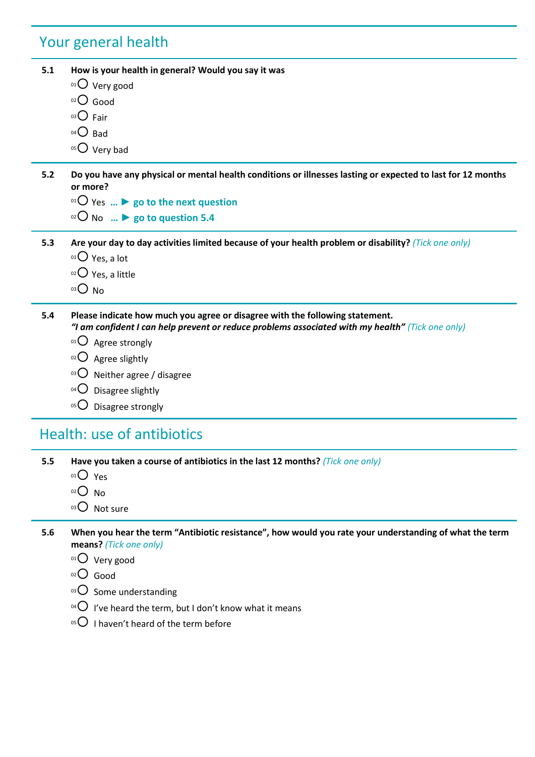# Your general health

| 5.1 | How is your health in general? Would you say it was                                                                                                                              |
|-----|----------------------------------------------------------------------------------------------------------------------------------------------------------------------------------|
|     | $01$ Very good                                                                                                                                                                   |
|     | $O2O$ Good                                                                                                                                                                       |
|     | $^{03}$ $O$ Fair                                                                                                                                                                 |
|     | $04\bigcirc$ Bad                                                                                                                                                                 |
|     | $05$ Very bad                                                                                                                                                                    |
| 5.2 | Do you have any physical or mental health conditions or illnesses lasting or expected to last for 12 months<br>or more?                                                          |
|     | <sup>01</sup> O Yes $\triangleright$ go to the next question                                                                                                                     |
|     | $^{02}$ O No $\triangleright$ go to question 5.4                                                                                                                                 |
| 5.3 | Are your day to day activities limited because of your health problem or disability? (Tick one only)                                                                             |
|     | $01$ Yes, a lot                                                                                                                                                                  |
|     | $02$ Yes, a little                                                                                                                                                               |
|     | O <sub>03</sub>                                                                                                                                                                  |
| 5.4 | Please indicate how much you agree or disagree with the following statement.<br>"I am confident I can help prevent or reduce problems associated with my health" (Tick one only) |
|     | $01$ Agree strongly                                                                                                                                                              |
|     | $^{02}$ Agree slightly                                                                                                                                                           |
|     | <sup>03</sup> $\bigcirc$ Neither agree / disagree                                                                                                                                |
|     | $04$ $\bigcirc$<br>Disagree slightly                                                                                                                                             |
|     | 05()<br>Disagree strongly                                                                                                                                                        |
|     | <b>Health: use of antibiotics</b>                                                                                                                                                |
| 5.5 | Have you taken a course of antibiotics in the last 12 months? (Tick one only)                                                                                                    |
|     | $01O$ Yes                                                                                                                                                                        |
|     | O(2C)<br><b>No</b>                                                                                                                                                               |
|     | 03 O Not sure                                                                                                                                                                    |
| 5.6 | When you hear the term "Antibiotic resistance", how would you rate your understanding of what the term<br>means? (Tick one only)                                                 |
|     | $^{01}$ Very good                                                                                                                                                                |
|     | $O10$ Good                                                                                                                                                                       |
|     | $\mathrm{^{03}O}$ Some understanding                                                                                                                                             |
|     | <sup>04</sup> $\bigcirc$ 1've heard the term, but I don't know what it means                                                                                                     |
|     | <sup>05</sup> $\bigcirc$ I haven't heard of the term before                                                                                                                      |
|     |                                                                                                                                                                                  |
|     |                                                                                                                                                                                  |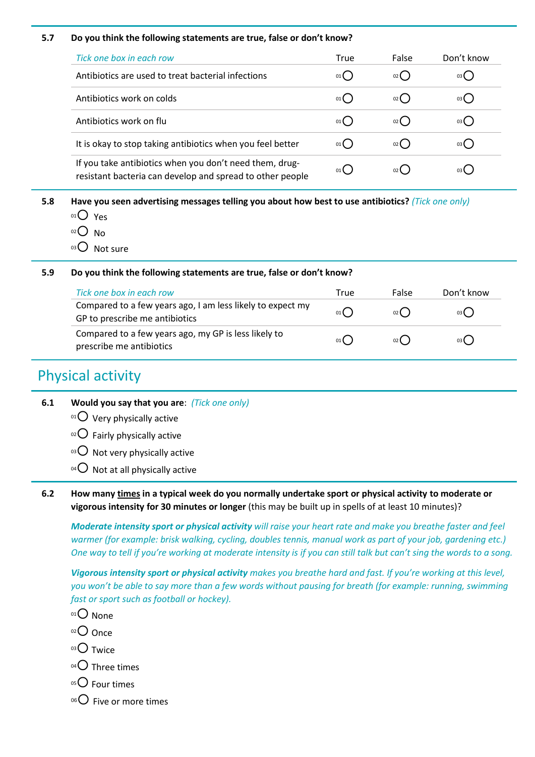#### **5.7 Do you think the following statements are true, false or don't know?**

| Tick one box in each row                                                                                             | True | False         | Don't know |
|----------------------------------------------------------------------------------------------------------------------|------|---------------|------------|
| Antibiotics are used to treat bacterial infections                                                                   | 01(  | $02$ $\left($ | 03 L       |
| Antibiotics work on colds                                                                                            | 01   | $02$ $\left($ | 03 (       |
| Antibiotics work on flu                                                                                              | 01   | 02()          | 03 L       |
| It is okay to stop taking antibiotics when you feel better                                                           | 01   | $02$ $\left($ |            |
| If you take antibiotics when you don't need them, drug-<br>resistant bacteria can develop and spread to other people | 01   | 02(           | 03 L       |

**5.8 Have you seen advertising messages telling you about how best to use antibiotics?** *(Tick one only)*

- $01$  Yes
- $O<sub>02</sub>$  No
- $03$  Not sure

#### **5.9 Do you think the following statements are true, false or don't know?**

| Tick one box in each row                                                                     | True | False         | Don't know |
|----------------------------------------------------------------------------------------------|------|---------------|------------|
| Compared to a few years ago, I am less likely to expect my<br>GP to prescribe me antibiotics | 01   | 02(           | 03()       |
| Compared to a few years ago, my GP is less likely to<br>prescribe me antibiotics             | 01 ( | $02$ $\left($ | 03()       |

### Physical activity

- **6.1 Would you say that you are**: *(Tick one only)*
	- $01$  Very physically active
	- $02$  Fairly physically active
	- $03$  Not very physically active
	- $04$  Not at all physically active
- **6.2 How many times in a typical week do you normally undertake sport or physical activity to moderate or vigorous intensity for 30 minutes or longer** (this may be built up in spells of at least 10 minutes)?

*Moderate intensity sport or physical activity will raise your heart rate and make you breathe faster and feel warmer (for example: brisk walking, cycling, doubles tennis, manual work as part of your job, gardening etc.) One way to tell if you're working at moderate intensity is if you can still talk but can't sing the words to a song.*

*Vigorous intensity sport or physical activity makes you breathe hard and fast. If you're working at this level, you won't be able to say more than a few words without pausing for breath (for example: running, swimming fast or sport such as football or hockey).*

- $01$  None
- $02$  Once
- $03$  Twice
- $04$  Three times
- $05$  Four times
- $06$  Five or more times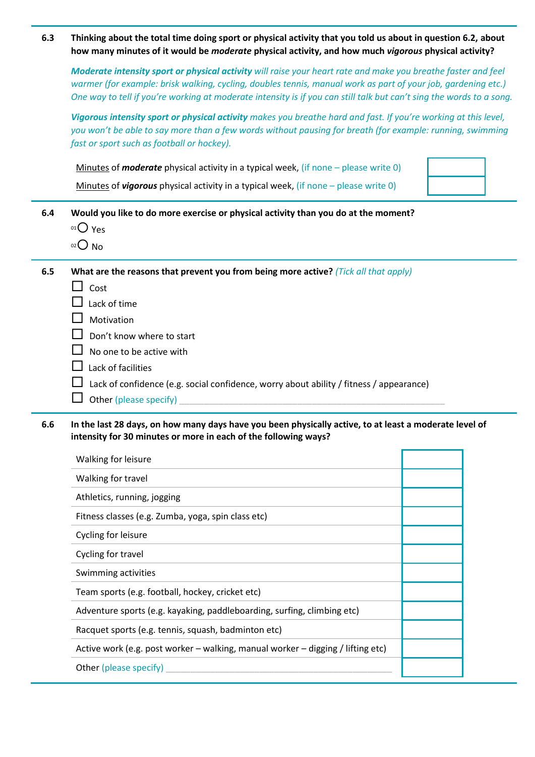**6.3 Thinking about the total time doing sport or physical activity that you told us about in question 6.2, about how many minutes of it would be** *moderate* **physical activity, and how much** *vigorous* **physical activity?** 

*Moderate intensity sport or physical activity will raise your heart rate and make you breathe faster and feel warmer (for example: brisk walking, cycling, doubles tennis, manual work as part of your job, gardening etc.) One way to tell if you're working at moderate intensity is if you can still talk but can't sing the words to a song.*

*Vigorous intensity sport or physical activity makes you breathe hard and fast. If you're working at this level, you won't be able to say more than a few words without pausing for breath (for example: running, swimming fast or sport such as football or hockey).*

| Minutes of <b>moderate</b> physical activity in a typical week, (if none $-$ please write 0) |  |
|----------------------------------------------------------------------------------------------|--|
| Minutes of <i>vigorous</i> physical activity in a typical week, (if none $-$ please write 0) |  |

| 6.4 | Would you like to do more exercise or physical activity than you do at the moment? |
|-----|------------------------------------------------------------------------------------|
|     | $010$ Yes                                                                          |
|     | $02$ $\Omega$ $N_{\Omega}$                                                         |

 $\cup$  No

**6.5 What are the reasons that prevent you from being more active?** *(Tick all that apply)*

- $\Box$  Cost
- $\Box$  Lack of time
- $\Box$  Motivation
- $\Box$  Don't know where to start
- $\Box$  No one to be active with
- $\Box$  Lack of facilities
- $\Box$  Lack of confidence (e.g. social confidence, worry about ability / fitness / appearance)
- $\Box$  Other (please specify)

**6.6 In the last 28 days, on how many days have you been physically active, to at least a moderate level of intensity for 30 minutes or more in each of the following ways?**

| Walking for leisure                                                             |  |
|---------------------------------------------------------------------------------|--|
| Walking for travel                                                              |  |
| Athletics, running, jogging                                                     |  |
| Fitness classes (e.g. Zumba, yoga, spin class etc)                              |  |
| Cycling for leisure                                                             |  |
| Cycling for travel                                                              |  |
| Swimming activities                                                             |  |
| Team sports (e.g. football, hockey, cricket etc)                                |  |
| Adventure sports (e.g. kayaking, paddleboarding, surfing, climbing etc)         |  |
| Racquet sports (e.g. tennis, squash, badminton etc)                             |  |
| Active work (e.g. post worker - walking, manual worker - digging / lifting etc) |  |
| Other (please specify)                                                          |  |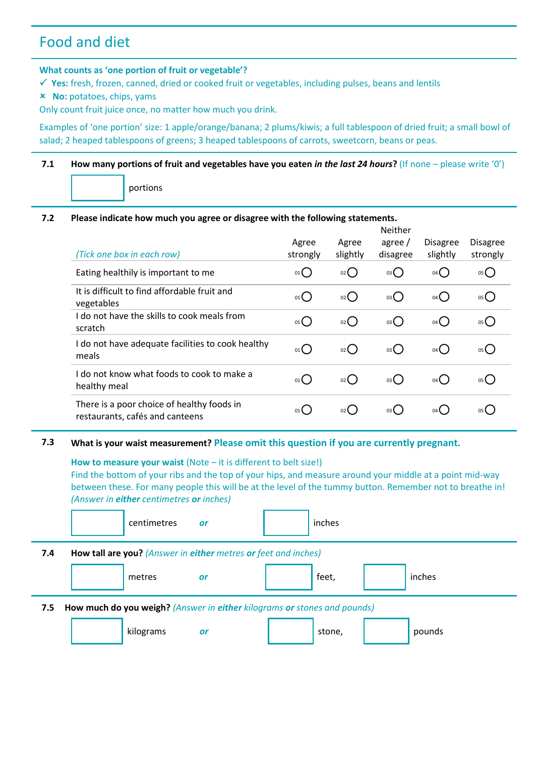### Food and diet

#### **What counts as 'one portion of fruit or vegetable'?**

 **Yes:** fresh, frozen, canned, dried or cooked fruit or vegetables, including pulses, beans and lentils

 **No:** potatoes, chips, yams

Only count fruit juice once, no matter how much you drink.

Examples of 'one portion' size: 1 apple/orange/banana; 2 plums/kiwis; a full tablespoon of dried fruit; a small bowl of salad; 2 heaped tablespoons of greens; 3 heaped tablespoons of carrots, sweetcorn, beans or peas.

#### **7.1 How many portions of fruit and vegetables have you eaten** *in the last 24 hours***?** (If none – please write '0')

portions

### **7.2 Please indicate how much you agree or disagree with the following statements.**

| (Tick one box in each row)                                                    | Agree<br>strongly | Agree<br>slightly | Neither<br>agree /<br>disagree | <b>Disagree</b><br>slightly | <b>Disagree</b><br>strongly |
|-------------------------------------------------------------------------------|-------------------|-------------------|--------------------------------|-----------------------------|-----------------------------|
| Eating healthily is important to me                                           | 01()              | 02()              | 03(                            | 04                          | 05()                        |
| It is difficult to find affordable fruit and<br>vegetables                    | 01()              | $_{02}$ ()        | 03()                           | $04$ $\bigcirc$             | 05()                        |
| I do not have the skills to cook meals from<br>scratch                        | $01$ $\left($     | $_{02}$ ()        | $03$ $\binom{1}{2}$            | 04()                        | 05()                        |
| I do not have adequate facilities to cook healthy<br>meals                    | 01()              | $_{02}$ ()        | 03()                           | 04()                        | 05()                        |
| I do not know what foods to cook to make a<br>healthy meal                    | 01                | $_{02}$ ()        | $03$ $\binom{1}{2}$            | $04$ $\binom{1}{2}$         | 05( )                       |
| There is a poor choice of healthy foods in<br>restaurants, cafés and canteens | 01(               | $02$ (            | $03$ (                         | $04$ (                      | 05(                         |

### **7.3 What is your waist measurement? Please omit this question if you are currently pregnant.**

**How to measure your waist** (Note – it is different to belt size!)

Find the bottom of your ribs and the top of your hips, and measure around your middle at a point mid-way between these. For many people this will be at the level of the tummy button. Remember not to breathe in! *(Answer in either centimetres or inches)*

|     | centimetres                                                              | or | inches |        |
|-----|--------------------------------------------------------------------------|----|--------|--------|
| 7.4 | How tall are you? (Answer in either metres or feet and inches)           |    |        |        |
|     | metres                                                                   | or | feet,  | inches |
| 7.5 | How much do you weigh? (Answer in either kilograms or stones and pounds) |    |        |        |
|     | kilograms                                                                | or | stone, | pounds |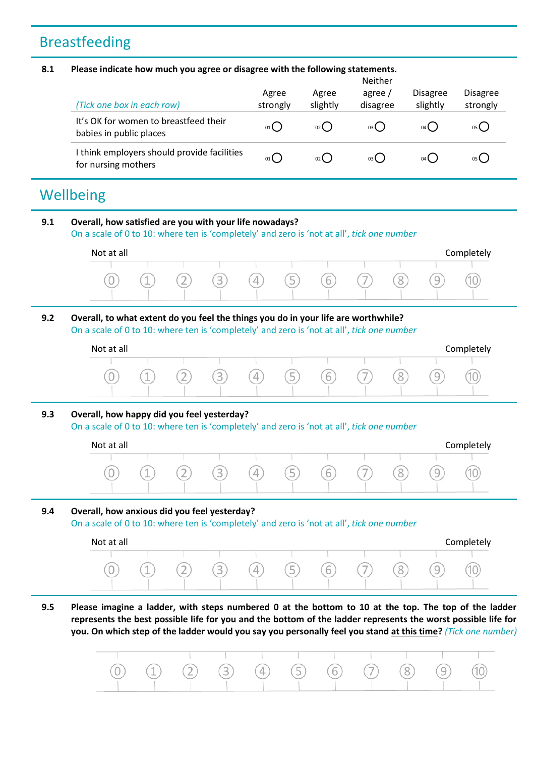## Breastfeeding

#### **8.1 Please indicate how much you agree or disagree with the following statements.**

| (Tick one box in each row)                                         | Agree<br>strongly | Agree<br>slightly | <b>Neither</b><br>agree /<br>disagree | <b>Disagree</b><br>slightly | <b>Disagree</b><br>strongly |
|--------------------------------------------------------------------|-------------------|-------------------|---------------------------------------|-----------------------------|-----------------------------|
| It's OK for women to breastfeed their<br>babies in public places   | 01                | 02                | 03(                                   | $04$ (                      | 05(                         |
| I think employers should provide facilities<br>for nursing mothers | 01(               | 02()              | 03()                                  | 04 (                        | 05 (                        |

## **Wellbeing**

### **9.1 Overall, how satisfied are you with your life nowadays?** On a scale of 0 to 10: where ten is 'completely' and zero is 'not at all', *tick one number*

| $\cap$       |     | $\sim$ | З | $\overline{4}$ | $\sqrt{5}$ | 6 | $\overline{\phantom{a}}$ |         |             |    |
|--------------|-----|--------|---|----------------|------------|---|--------------------------|---------|-------------|----|
| $\checkmark$ | $-$ | ∠      |   |                |            |   |                          | $\circ$ | ᅴ<br>$\sim$ | ïυ |

### **9.2 Overall, to what extent do you feel the things you do in your life are worthwhile?** On a scale of 0 to 10: where ten is 'completely' and zero is 'not at all', *tick one number*

| Not at all |     |  |  |                                           |   | Completely |
|------------|-----|--|--|-------------------------------------------|---|------------|
|            |     |  |  |                                           |   |            |
|            | (1) |  |  | $(2)$ $(3)$ $(4)$ $(5)$ $(6)$ $(7)$ $(8)$ | 9 | $\sim$     |
|            |     |  |  |                                           |   |            |

### **9.3 Overall, how happy did you feel yesterday?**

On a scale of 0 to 10: where ten is 'completely' and zero is 'not at all', *tick one number*

| Not at all |  |  |                                     |  |     | Completely |
|------------|--|--|-------------------------------------|--|-----|------------|
|            |  |  |                                     |  |     |            |
|            |  |  | (0) (1) (2) (3) (4) (5) (6) (7) (8) |  | (9) |            |
|            |  |  |                                     |  |     |            |

### **9.4 Overall, how anxious did you feel yesterday?**

On a scale of 0 to 10: where ten is 'completely' and zero is 'not at all', *tick one number*

| Not at all |     |  |                             |  |        | Completely |
|------------|-----|--|-----------------------------|--|--------|------------|
|            |     |  |                             |  |        |            |
|            | (1) |  | (2) (3) (4) (5) (6) (7) (8) |  | $\cup$ |            |
|            |     |  |                             |  |        |            |

**9.5 Please imagine a ladder, with steps numbered 0 at the bottom to 10 at the top. The top of the ladder represents the best possible life for you and the bottom of the ladder represents the worst possible life for you. On which step of the ladder would you say you personally feel you stand at this time?** *(Tick one number)*

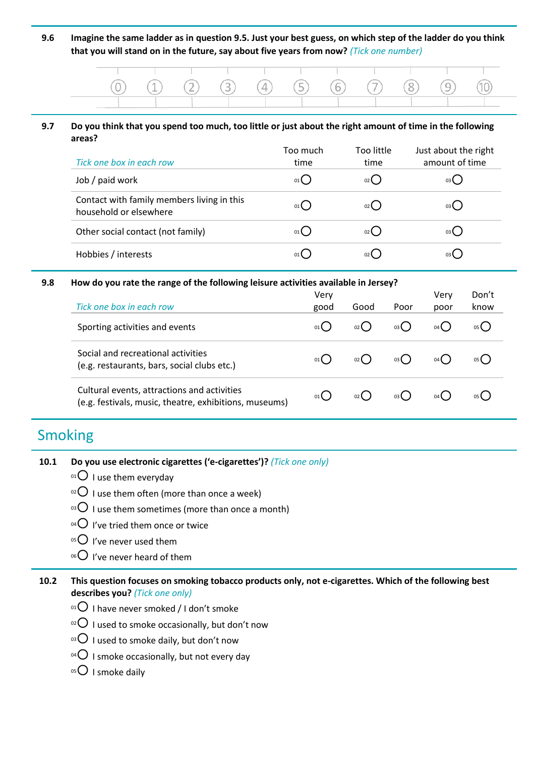**9.6 Imagine the same ladder as in question 9.5. Just your best guess, on which step of the ladder do you think that you will stand on in the future, say about five years from now?** *(Tick one number)*

| $(0)$ $(1)$ $(2)$ $(3)$ $(4)$ $(5)$ $(6)$ $(7)$ $(8)$ $(9)$ $(10)$ |  | <u> Tanzania di Amerika di Santa Amerika di Santa Amerika di Santa Amerika di Santa Amerika di Santa Amerika di S</u> |  |  |  |  |
|--------------------------------------------------------------------|--|-----------------------------------------------------------------------------------------------------------------------|--|--|--|--|
|                                                                    |  |                                                                                                                       |  |  |  |  |

#### **9.7 Do you think that you spend too much, too little or just about the right amount of time in the following areas?**

| Tick one box in each row                                             | Too much<br>time | Too little<br>time | Just about the right<br>amount of time |
|----------------------------------------------------------------------|------------------|--------------------|----------------------------------------|
| Job / paid work                                                      | $01$ $\left($    | 02                 | 03 L                                   |
| Contact with family members living in this<br>household or elsewhere | $01$ $\left($    | $02$ $\left($      | 03(                                    |
| Other social contact (not family)                                    | $01$ $\left($    | $02$ $\left($      | 03 (                                   |
| Hobbies / interests                                                  |                  |                    | 03 L                                   |

#### **9.8 How do you rate the range of the following leisure activities available in Jersey?**

| Tick one box in each row                                                                              | Very<br>good                              | Good   | Poor  | Very<br>poor    | Don't<br>know |
|-------------------------------------------------------------------------------------------------------|-------------------------------------------|--------|-------|-----------------|---------------|
| Sporting activities and events                                                                        | 01                                        | $02$ ( | 03()  | 04 L            | 05 ()         |
| Social and recreational activities<br>(e.g. restaurants, bars, social clubs etc.)                     | $01$ <sup><math>\blacksquare</math></sup> |        | 03( ) | 04 <sup>1</sup> | 05 ()         |
| Cultural events, attractions and activities<br>(e.g. festivals, music, theatre, exhibitions, museums) | 01                                        |        | 03( ) |                 |               |

## Smoking

| 10.1 | Do you use electronic cigarettes ('e-cigarettes')? (Tick one only) |  |  |
|------|--------------------------------------------------------------------|--|--|
|------|--------------------------------------------------------------------|--|--|

- $01$  I use them everyday
- $10^{2}$  I use them often (more than once a week)
- $\delta$ <sup>3</sup>O I use them sometimes (more than once a month)
- $^{04}$  I've tried them once or twice
- $05$  I've never used them
- $06$  I've never heard of them

### **10.2 This question focuses on smoking tobacco products only, not e-cigarettes. Which of the following best describes you?** *(Tick one only)*

- $01$  I have never smoked / I don't smoke
- $10^{12}$  I used to smoke occasionally, but don't now
- $10^{3}$  I used to smoke daily, but don't now
- <sup>04</sup> $\bigcirc$  I smoke occasionally, but not every day
- $05$  I smoke daily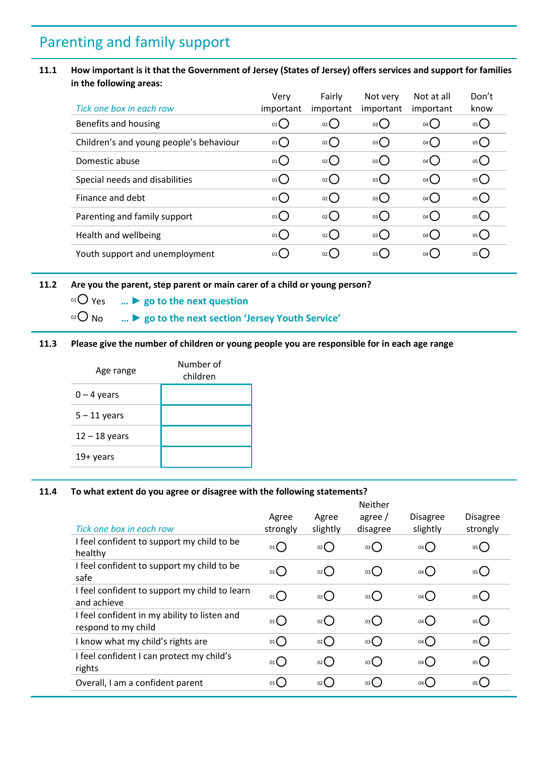## Parenting and family support

### **11.1 How important is it that the Government of Jersey (States of Jersey) offers services and support for families in the following areas:**

|                                         | Verv            | Fairly             | Not very            | Not at all | Don't          |
|-----------------------------------------|-----------------|--------------------|---------------------|------------|----------------|
| Tick one box in each row                | important       | important          | important           | important  | know           |
| Benefits and housing                    | $_{01}$ $O$     | O <sub>2</sub>     | $03$ $\bigcup$      | 04()       | 05             |
| Children's and young people's behaviour | 01              | $_{02}$            | $03$ $\bigcirc$     | 04()       | 05             |
| Domestic abuse                          | 01              | $_{02}$ $\bigcirc$ | $03$ $\bigcirc$     | 04()       | 05             |
| Special needs and disabilities          | 01()            | $_{02}$ $O$        | $03$ $\bigcirc$     | 04()       | 05             |
| Finance and debt                        | $01$ $\bigcirc$ | $_{02}$            | $03$ $\bigcirc$     | 04()       | 05             |
| Parenting and family support            | $01$ $\bigcirc$ | $_{02}$            | $03$ $\bigcirc$     | 04()       | $\overline{O}$ |
| Health and wellbeing                    | 01              | O(2C)              | 03                  | 04()       | 05             |
| Youth support and unemployment          | 01              | $_{02}$            | $03$ $\binom{1}{2}$ | 04(        | $\overline{O}$ |

#### **11.2 Are you the parent, step parent or main carer of a child or young person?**

<sup>01</sup> Yes **… ► go to the next question**

<sup>02</sup> No **… ► go to the next section 'Jersey Youth Service'**

**11.3 Please give the number of children or young people you are responsible for in each age range** 

| Age range       | Number of<br>children |
|-----------------|-----------------------|
| $0 - 4$ years   |                       |
| $5 - 11$ years  |                       |
| $12 - 18$ years |                       |
| 19+ years       |                       |

#### **11.4 To what extent do you agree or disagree with the following statements?**

|                                                                     |                   |                   | <b>Neither</b>     |                             |                             |
|---------------------------------------------------------------------|-------------------|-------------------|--------------------|-----------------------------|-----------------------------|
| Tick one box in each row                                            | Agree<br>strongly | Agree<br>slightly | agree/<br>disagree | <b>Disagree</b><br>slightly | <b>Disagree</b><br>strongly |
| I feel confident to support my child to be<br>healthy               | 01()              | $_{02}$ ()        | 03(                | $04$ $\bigcirc$             | 05(                         |
| I feel confident to support my child to be<br>safe                  | 01()              | $_{02}$ ()        | 03()               | $04$ $\bigcirc$             | 05(                         |
| I feel confident to support my child to learn<br>and achieve        | 01()              | $_{02}$ ()        | 03()               | $04$ $\bigcirc$             | 05()                        |
| I feel confident in my ability to listen and<br>respond to my child | 01()              | $_{02}$ ()        | 03()               | $04$ $\bigcap$              | 05( )                       |
| I know what my child's rights are                                   | 01()              | $_{02}$ ()        | 03()               | $04$ $\bigcap$              | 05()                        |
| I feel confident I can protect my child's<br>rights                 | 01()              | $_{02}$ ()        | 03()               | $04$ $\bigcap$              | 05()                        |
| Overall, I am a confident parent                                    | $01$ $($          | $_{02}$ (         | $03$ (             | 04()                        | 05(                         |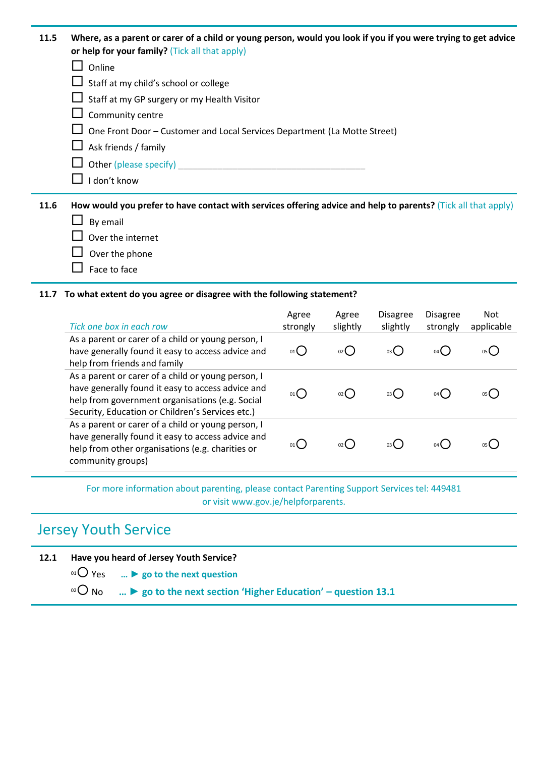| 11.5 | Where, as a parent or carer of a child or young person, would you look if you if you were trying to get advice<br>or help for your family? (Tick all that apply) |
|------|------------------------------------------------------------------------------------------------------------------------------------------------------------------|
|      | Online                                                                                                                                                           |
|      | Staff at my child's school or college                                                                                                                            |
|      | $\Box$ Staff at my GP surgery or my Health Visitor                                                                                                               |
|      | Community centre                                                                                                                                                 |
|      | One Front Door - Customer and Local Services Department (La Motte Street)                                                                                        |
|      | Ask friends / family                                                                                                                                             |
|      | Other (please specify)                                                                                                                                           |
|      | I don't know                                                                                                                                                     |
| 11.6 | How would you prefer to have contact with services offering advice and help to parents? (Tick all that apply)                                                    |
|      | By email                                                                                                                                                         |
|      | Over the internet                                                                                                                                                |
|      | Over the phone                                                                                                                                                   |

 $\Box$  Face to face

#### **11.7 To what extent do you agree or disagree with the following statement?**

| Tick one box in each row                                                                                                                                                                                       | Agree<br>strongly | Agree<br>slightly | <b>Disagree</b><br>slightly | <b>Disagree</b><br>strongly | <b>Not</b><br>applicable |
|----------------------------------------------------------------------------------------------------------------------------------------------------------------------------------------------------------------|-------------------|-------------------|-----------------------------|-----------------------------|--------------------------|
| As a parent or carer of a child or young person, I<br>have generally found it easy to access advice and<br>help from friends and family                                                                        | 01                | 02 <sup>l</sup>   | 03 <b>(</b>                 | 04 L                        |                          |
| As a parent or carer of a child or young person, I<br>have generally found it easy to access advice and<br>help from government organisations (e.g. Social<br>Security, Education or Children's Services etc.) | 01                | 02 <sub>0</sub>   | 03 L                        | 04 L                        |                          |
| As a parent or carer of a child or young person, I<br>have generally found it easy to access advice and<br>help from other organisations (e.g. charities or<br>community groups)                               |                   |                   | 03 <sup>l</sup>             | 04 <sup>l</sup>             |                          |

For more information about parenting, please contact Parenting Support Services tel: 449481 or visit www.gov.je/helpforparents.

## Jersey Youth Service

**12.1 Have you heard of Jersey Youth Service?**

<sup>01</sup> Yes **… ► go to the next question**

<sup>02</sup> No **… ► go to the next section 'Higher Education' – question 13.1**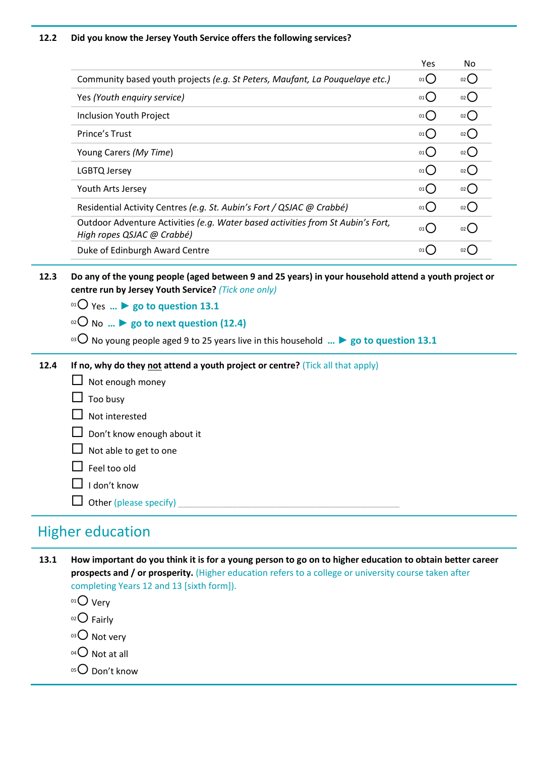#### **12.2 Did you know the Jersey Youth Service offers the following services?**

|                                                                                                               | Yes       | No            |
|---------------------------------------------------------------------------------------------------------------|-----------|---------------|
| Community based youth projects (e.g. St Peters, Maufant, La Pouquelaye etc.)                                  | 01        | $_{02}$       |
| Yes (Youth enquiry service)                                                                                   | $_{01}$ ( | 02            |
| Inclusion Youth Project                                                                                       | 01        | $02$ (        |
| Prince's Trust                                                                                                | 01        | $02$ (        |
| Young Carers (My Time)                                                                                        | 01        | $02$ $\left($ |
| LGBTQ Jersey                                                                                                  | 01        | $02$ (        |
| Youth Arts Jersey                                                                                             | 01        | 02            |
| Residential Activity Centres (e.g. St. Aubin's Fort / QSJAC @ Crabbé)                                         | 01        | $02$ (        |
| Outdoor Adventure Activities (e.g. Water based activities from St Aubin's Fort,<br>High ropes QSJAC @ Crabbé) | 01        |               |
| Duke of Edinburgh Award Centre                                                                                | 01        |               |

- **12.3 Do any of the young people (aged between 9 and 25 years) in your household attend a youth project or centre run by Jersey Youth Service?** *(Tick one only)*
	- $01$  Yes  $\ldots$  ▶ go to question 13.1
	- <sup>02</sup> No **… ► go to next question (12.4)**
	- <sup>03</sup> No young people aged 9 to 25 years live in this household **… ► go to question 13.1**
- **12.4 If no, why do they not attend a youth project or centre?** (Tick all that apply)
	- $\Box$  Not enough money  $\Box$  Too busy  $\Box$  Not interested Don't know enough about it  $\Box$  Not able to get to one  $\Box$  Feel too old  $\Box$  I don't know  $\Box$  Other (please specify)

### Higher education

- **13.1 How important do you think it is for a young person to go on to higher education to obtain better career prospects and / or prosperity.** (Higher education refers to a college or university course taken after completing Years 12 and 13 [sixth form]).
	- $01$  Very
	- $02$  Fairly
	- $03$  Not very
	- $04$  Not at all
	- $05$  Don't know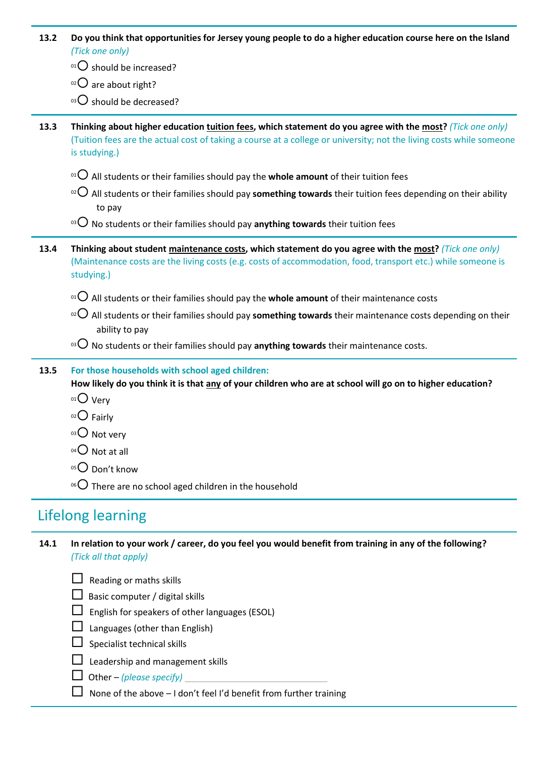| 13.2 | Do you think that opportunities for Jersey young people to do a higher education course here on the Island<br>(Tick one only)                                                                                                                     |
|------|---------------------------------------------------------------------------------------------------------------------------------------------------------------------------------------------------------------------------------------------------|
|      | $01O$ should be increased?                                                                                                                                                                                                                        |
|      | $02$ are about right?                                                                                                                                                                                                                             |
|      | $^{03}$ O should be decreased?                                                                                                                                                                                                                    |
| 13.3 | Thinking about higher education tuition fees, which statement do you agree with the most? (Tick one only)<br>(Tuition fees are the actual cost of taking a course at a college or university; not the living costs while someone<br>is studying.) |
|      | $^{01}$ O All students or their families should pay the whole amount of their tuition fees                                                                                                                                                        |
|      | $\alpha$ O All students or their families should pay something towards their tuition fees depending on their ability<br>to pay                                                                                                                    |
|      | <sup>03</sup> $\bigcirc$ No students or their families should pay anything towards their tuition fees                                                                                                                                             |
| 13.4 | Thinking about student maintenance costs, which statement do you agree with the most? (Tick one only)<br>(Maintenance costs are the living costs (e.g. costs of accommodation, food, transport etc.) while someone is<br>studying.)               |
|      | $\Omega$ All students or their families should pay the whole amount of their maintenance costs                                                                                                                                                    |
|      | $\alpha$ O All students or their families should pay something towards their maintenance costs depending on their<br>ability to pay                                                                                                               |
|      | <sup>03</sup> O No students or their families should pay anything towards their maintenance costs.                                                                                                                                                |
| 13.5 | For those households with school aged children:<br>How likely do you think it is that any of your children who are at school will go on to higher education?<br>$01$ Very<br>02 Fairly<br>03 O Not very<br>$^{04}$ Not at all                     |
|      | 05 Don't know                                                                                                                                                                                                                                     |
|      | <sup>06</sup> $\bigcirc$ There are no school aged children in the household                                                                                                                                                                       |

## Lifelong learning

**14.1 In relation to your work / career, do you feel you would benefit from training in any of the following?**  *(Tick all that apply)*

 $\Box$  Reading or maths skills

- $\Box$  Basic computer / digital skills
- $\Box$  English for speakers of other languages (ESOL)
- $\Box$  Languages (other than English)
- $\Box$  Specialist technical skills
- **Leadership and management skills**
- $\Box$  Other *(please specify)*
- $\Box$  None of the above I don't feel I'd benefit from further training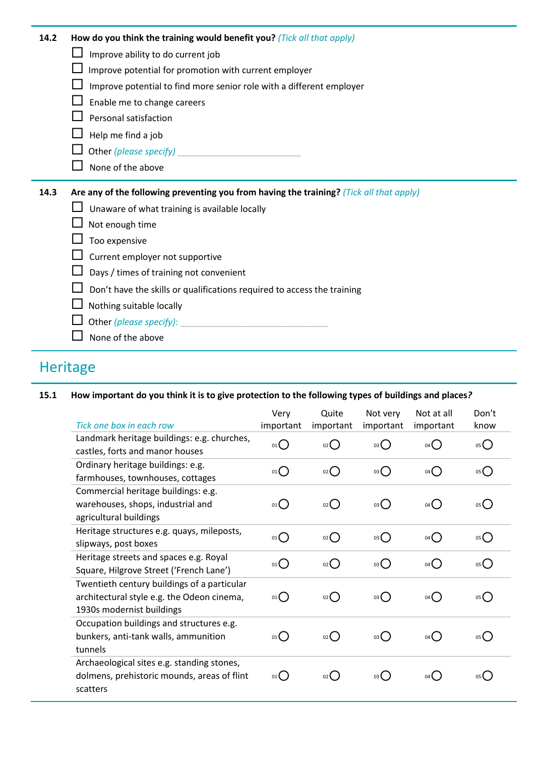| 14.2 | How do you think the training would benefit you? (Tick all that apply)                  |
|------|-----------------------------------------------------------------------------------------|
|      | Improve ability to do current job                                                       |
|      | Improve potential for promotion with current employer                                   |
|      | Improve potential to find more senior role with a different employer                    |
|      | Enable me to change careers                                                             |
|      | Personal satisfaction                                                                   |
|      | Help me find a job                                                                      |
|      | Other (please specify)                                                                  |
|      | None of the above                                                                       |
|      |                                                                                         |
| 14.3 | Are any of the following preventing you from having the training? (Tick all that apply) |
|      | Unaware of what training is available locally                                           |
|      | Not enough time                                                                         |
|      | Too expensive                                                                           |
|      | Current employer not supportive                                                         |
|      | Days / times of training not convenient                                                 |
|      | Don't have the skills or qualifications required to access the training                 |
|      | Nothing suitable locally                                                                |
|      | Other (please specify):                                                                 |

## Heritage

### **15.1 How important do you think it is to give protection to the following types of buildings and places***?*

|                                             | Very        | Quite              | Not very        | Not at all      | Don't          |
|---------------------------------------------|-------------|--------------------|-----------------|-----------------|----------------|
| Tick one box in each row                    | important   | important          | important       | important       | know           |
| Landmark heritage buildings: e.g. churches, | $_{01}( )$  | $_{02}()$          | 03()            | $04$ $\bigcap$  | $\overline{O}$ |
| castles, forts and manor houses             |             |                    |                 |                 |                |
| Ordinary heritage buildings: e.g.           | $_{01}$ $O$ | $_{02}$            | $03\bigcirc$    | $04$ $\bigcirc$ | 05             |
| farmhouses, townhouses, cottages            |             |                    |                 |                 |                |
| Commercial heritage buildings: e.g.         |             |                    |                 |                 |                |
| warehouses, shops, industrial and           | $_{01}()$   | $_{02}$            | 03              | $04$ $\bigcirc$ | 05()           |
| agricultural buildings                      |             |                    |                 |                 |                |
| Heritage structures e.g. quays, mileposts,  | $_{01}()$   | $_{02}$ $\bigcirc$ | $03$ $\bigcirc$ | $04$ $\bigcap$  | 05             |
| slipways, post boxes                        |             |                    |                 |                 |                |
| Heritage streets and spaces e.g. Royal      | $_{01}()$   | $_{02}$            | 03              | $04$ $\bigcirc$ | 05             |
| Square, Hilgrove Street ('French Lane')     |             |                    |                 |                 |                |
| Twentieth century buildings of a particular |             |                    |                 |                 |                |
| architectural style e.g. the Odeon cinema,  | $_{01}()$   | $_{02}$            | $03$ $\bigcirc$ | $04$ $\bigcirc$ | 05()           |
| 1930s modernist buildings                   |             |                    |                 |                 |                |
| Occupation buildings and structures e.g.    |             |                    |                 |                 |                |
| bunkers, anti-tank walls, ammunition        | $_{01}()$   | $_{02}$            | $03$ $\bigcirc$ | 04()            | 05()           |
| tunnels                                     |             |                    |                 |                 |                |
| Archaeological sites e.g. standing stones,  |             |                    |                 |                 |                |
| dolmens, prehistoric mounds, areas of flint | 01()        | $_{02}$ $O$        | 03()            | 04()            | 05()           |
| scatters                                    |             |                    |                 |                 |                |
|                                             |             |                    |                 |                 |                |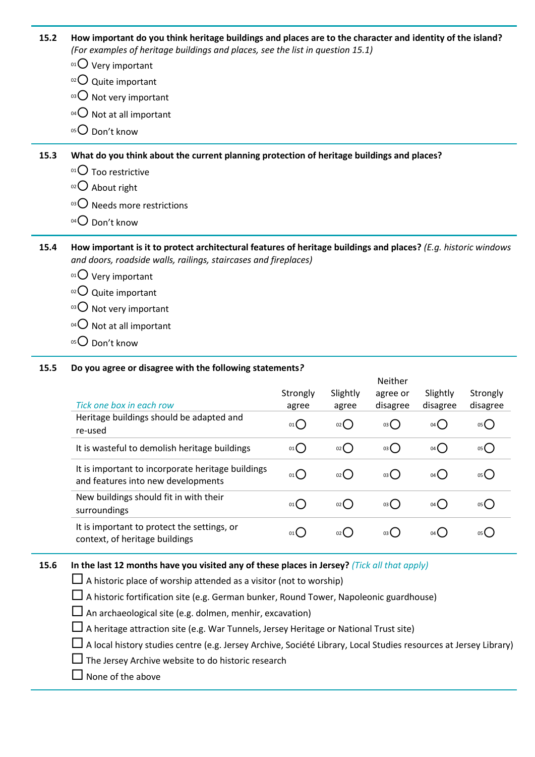**15.2 How important do you think heritage buildings and places are to the character and identity of the island?** *(For examples of heritage buildings and places, see the list in question 15.1)*

- $01$  Very important
- $02$  Quite important
- $03$  Not very important
- $04$  Not at all important
- 05<sup>O</sup> Don't know

**15.3 What do you think about the current planning protection of heritage buildings and places?**

- $01$  Too restrictive
- $02$  About right
- $03$  Needs more restrictions
- 04 Don't know

**15.4 How important is it to protect architectural features of heritage buildings and places?** *(E.g. historic windows and doors, roadside walls, railings, staircases and fireplaces)*

- $01$  Very important
- $02$  Quite important
- $03$  Not very important
- $04$  Not at all important
- $05$  Don't know

#### **15.5 Do you agree or disagree with the following statements***?*

| Tick one box in each row                                                                | Strongly<br>agree | Slightly<br>agree  | <b>Neither</b><br>agree or<br>disagree | Slightly<br>disagree | Strongly<br>disagree |
|-----------------------------------------------------------------------------------------|-------------------|--------------------|----------------------------------------|----------------------|----------------------|
| Heritage buildings should be adapted and<br>re-used                                     | $01$ $\bigcirc$   | $_{02}$            | $03$ $\bigcirc$                        | $04$ $\bigcirc$      | 05                   |
| It is wasteful to demolish heritage buildings                                           | $01$ $\bigcap$    | O(2)               | $03$ $\bigcirc$                        | 04()                 | $05$ $\bigcirc$      |
| It is important to incorporate heritage buildings<br>and features into new developments | 01()              | $_{02}$ $\bigcirc$ | 03()                                   | 04()                 | 05()                 |
| New buildings should fit in with their<br>surroundings                                  | 01()              | 02()               | 03()                                   | 04()                 | 05(                  |
| It is important to protect the settings, or<br>context, of heritage buildings           | 01                | 02()               | 03()                                   | $04$ $\binom{1}{2}$  | os <b>(</b>          |

#### **15.6 In the last 12 months have you visited any of these places in Jersey?** *(Tick all that apply)*

 $\Box$  A historic place of worship attended as a visitor (not to worship)

 $\Box$  A historic fortification site (e.g. German bunker, Round Tower, Napoleonic guardhouse)

 $\Box$  An archaeological site (e.g. dolmen, menhir, excavation)

 $\square$  A heritage attraction site (e.g. War Tunnels, Jersey Heritage or National Trust site)

A local history studies centre (e.g. Jersey Archive, Société Library, Local Studies resources at Jersey Library)

 $\square$  The Jersey Archive website to do historic research

 $\Box$  None of the above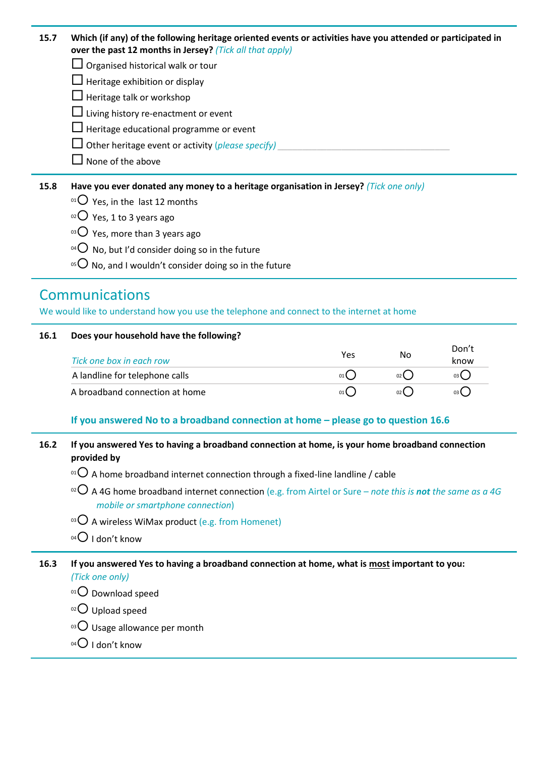**15.7 Which (if any) of the following heritage oriented events or activities have you attended or participated in over the past 12 months in Jersey?** *(Tick all that apply)*

 $\Box$  Organised historical walk or tour

 $\Box$  Heritage exhibition or display

 $\Box$  Heritage talk or workshop

 $\Box$  Living history re-enactment or event

 $\Box$  Heritage educational programme or event

 $\square$  Other heritage event or activity (*please specify*)

 $\Box$  None of the above

**15.8 Have you ever donated any money to a heritage organisation in Jersey?** *(Tick one only)*

- $01$  Yes, in the last 12 months
- $02$  Yes, 1 to 3 years ago
- $03$  Yes, more than 3 years ago
- <sup>04</sup> O No, but I'd consider doing so in the future
- <sup>05</sup>  $\bigcirc$  No, and I wouldn't consider doing so in the future

### Communications

We would like to understand how you use the telephone and connect to the internet at home

### **16.1 Does your household have the following?**

| Tick one box in each row       | Yes | No              | Don't<br>know |
|--------------------------------|-----|-----------------|---------------|
| A landline for telephone calls | 01  | 02 <sub>0</sub> | 03 L          |
| A broadband connection at home | 01  | 02 <sup>1</sup> | 03 L          |

### **If you answered No to a broadband connection at home – please go to question 16.6**

### **16.2 If you answered Yes to having a broadband connection at home, is your home broadband connection provided by**

<sup>01</sup>  $\bigcirc$  A home broadband internet connection through a fixed-line landline / cable

- <sup>02</sup> A 4G home broadband internet connection (e.g. from Airtel or Sure *note this is not the same as a 4G mobile or smartphone connection*)
- $^{03}$  A wireless WiMax product (e.g. from Homenet)
- $04$  I don't know

#### **16.3 If you answered Yes to having a broadband connection at home, what is most important to you:** *(Tick one only)*

- $01$  Download speed
- $02$  Upload speed
- $03$  Usage allowance per month
- $04$  I don't know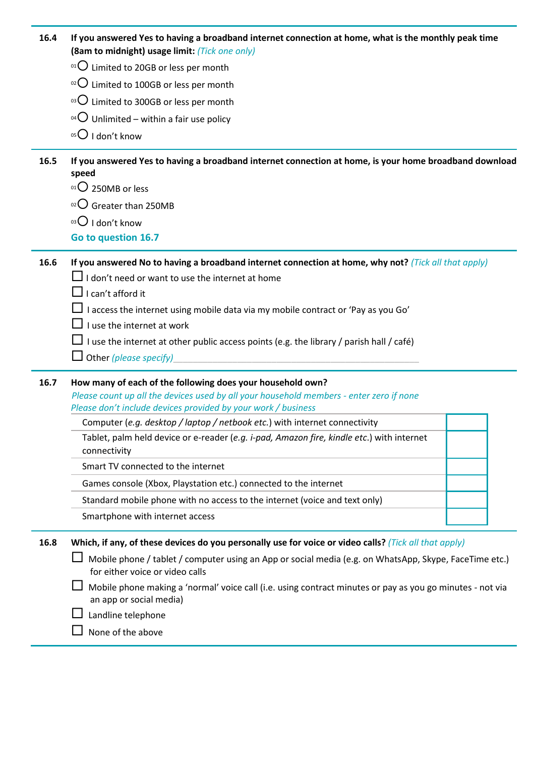| 16.4 | If you answered Yes to having a broadband internet connection at home, what is the monthly peak time |
|------|------------------------------------------------------------------------------------------------------|
|      | (8am to midnight) usage limit: (Tick one only)                                                       |

- $01$  Limited to 20GB or less per month
- $10^{2}$  Limited to 100GB or less per month
- $03$  Limited to 300GB or less per month
- <sup>04</sup> Unlimited within a fair use policy
- $05$  I don't know

**16.5 If you answered Yes to having a broadband internet connection at home, is your home broadband download speed**

- $01$  250MB or less
- $02$  Greater than 250MB
- $03$  I don't know
- **Go to question 16.7**

**16.6 If you answered No to having a broadband internet connection at home, why not?** *(Tick all that apply)*

- $\Box$  I don't need or want to use the internet at home
- $\Box$  I can't afford it
- $\Box$  I access the internet using mobile data via my mobile contract or 'Pay as you Go'
- $\Box$  I use the internet at work
- $\Box$  I use the internet at other public access points (e.g. the library / parish hall / café)
- $\Box$  Other *(please specify)*

#### **16.7 How many of each of the following does your household own?**

*Please count up all the devices used by all your household members - enter zero if none Please don't include devices provided by your work / business*

Computer (*e.g. desktop / laptop / netbook etc.*) with internet connectivity

Tablet, palm held device or e-reader (*e.g. i-pad, Amazon fire, kindle etc*.) with internet connectivity

Smart TV connected to the internet

Games console (Xbox, Playstation etc.) connected to the internet

Standard mobile phone with no access to the internet (voice and text only)

Smartphone with internet access

**16.8 Which, if any, of these devices do you personally use for voice or video calls?** *(Tick all that apply)*

 $\Box$  Mobile phone / tablet / computer using an App or social media (e.g. on WhatsApp, Skype, FaceTime etc.) for either voice or video calls

 $\Box$  Mobile phone making a 'normal' voice call (i.e. using contract minutes or pay as you go minutes - not via an app or social media)

- $\Box$  Landline telephone
- $\Box$  None of the above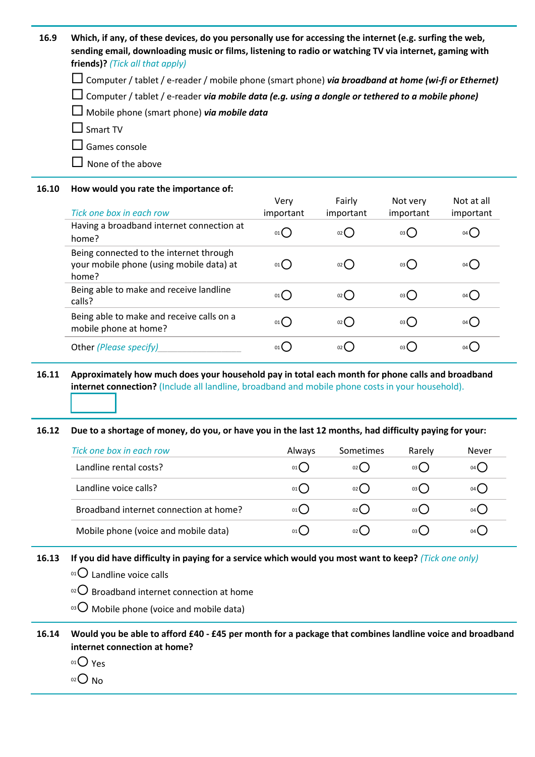**16.9 Which, if any, of these devices, do you personally use for accessing the internet (e.g. surfing the web, sending email, downloading music or films, listening to radio or watching TV via internet, gaming with friends)?** *(Tick all that apply)*

Computer / tablet / e-reader / mobile phone (smart phone) *via broadband at home (wi-fi or Ethernet)*

Computer / tablet / e-reader *via mobile data (e.g. using a dongle or tethered to a mobile phone)*

Mobile phone (smart phone) *via mobile data*

 $\Box$  Smart TV

 $\square$  Games console

 $\Box$  None of the above

**16.10 How would you rate the importance of:**

| Tick one box in each row                                                                     | Very<br>important | Fairly<br>important | Not very<br>important | Not at all<br>important |
|----------------------------------------------------------------------------------------------|-------------------|---------------------|-----------------------|-------------------------|
| Having a broadband internet connection at<br>home?                                           | 01                | $02$ $\left($       | 03()                  | 04()                    |
| Being connected to the internet through<br>your mobile phone (using mobile data) at<br>home? | 01                | 02()                | 03C                   | 04()                    |
| Being able to make and receive landline<br>calls?                                            | 01                | $02$ (              | 03                    | 04()                    |
| Being able to make and receive calls on a<br>mobile phone at home?                           | 01                | $02$ $\left($       | 03()                  | 04()                    |
| Other (Please specify)                                                                       | 01                | $02$ (              | 03(                   | $04$ $\bullet$          |

### **16.11 Approximately how much does your household pay in total each month for phone calls and broadband internet connection?** (Include all landline, broadband and mobile phone costs in your household).

#### **16.12 Due to a shortage of money, do you, or have you in the last 12 months, had difficulty paying for your:**

| Tick one box in each row               | <b>Always</b> | <b>Sometimes</b> | Rarely  | Never         |
|----------------------------------------|---------------|------------------|---------|---------------|
| Landline rental costs?                 | 01()          | 02()             | $03($ ) | 04()          |
| Landline voice calls?                  | $01$ $\left($ | 02()             | 03()    | 04()          |
| Broadband internet connection at home? | 01()          | 02()             | 03()    | $04($ )       |
| Mobile phone (voice and mobile data)   | 01(           | 02()             | 03(     | $04$ $\left($ |

**16.13 If you did have difficulty in paying for a service which would you most want to keep?** *(Tick one only)*

 $01$  Landline voice calls

 $10^{22}$  Broadband internet connection at home

 $103$  Mobile phone (voice and mobile data)

**16.14 Would you be able to afford £40 - £45 per month for a package that combines landline voice and broadband internet connection at home?**

 $01$  Yes

 $O<sub>02</sub>$  No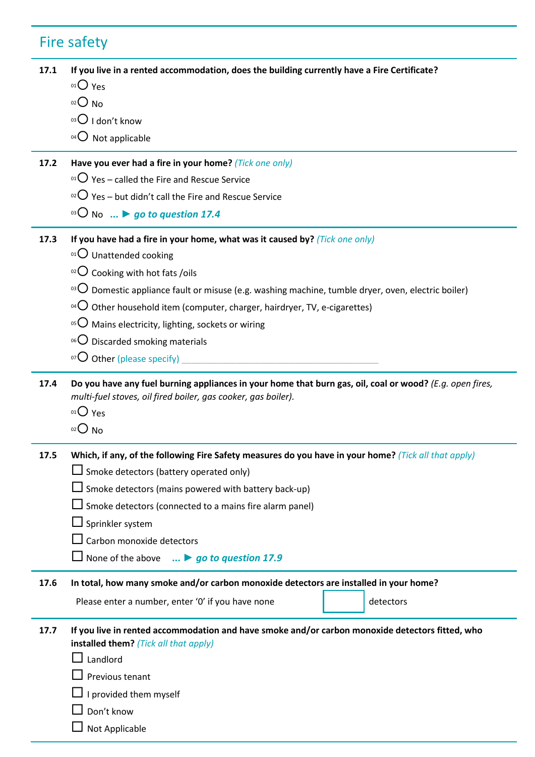# Fire safety

|      | If you live in a rented accommodation, does the building currently have a Fire Certificate?                                                                                            |
|------|----------------------------------------------------------------------------------------------------------------------------------------------------------------------------------------|
|      | $01O$ Yes                                                                                                                                                                              |
|      | $O02$ No                                                                                                                                                                               |
|      | $03$ I don't know                                                                                                                                                                      |
|      | $04$ Not applicable                                                                                                                                                                    |
| 17.2 | Have you ever had a fire in your home? (Tick one only)                                                                                                                                 |
|      | <sup>01</sup> $\bigcirc$ Yes – called the Fire and Rescue Service                                                                                                                      |
|      | <sup>02</sup> $\bigcirc$ Yes – but didn't call the Fire and Rescue Service                                                                                                             |
|      | <sup>03</sup> O No  > go to question 17.4                                                                                                                                              |
| 17.3 | If you have had a fire in your home, what was it caused by? (Tick one only)                                                                                                            |
|      | 01 Unattended cooking                                                                                                                                                                  |
|      | $\,^{\circ 2}$ Cooking with hot fats /oils                                                                                                                                             |
|      | <sup>03</sup> $\bigcirc$ Domestic appliance fault or misuse (e.g. washing machine, tumble dryer, oven, electric boiler)                                                                |
|      | <sup>04</sup> $\bigcirc$ Other household item (computer, charger, hairdryer, TV, e-cigarettes)                                                                                         |
|      | <sup>05</sup> $\bigcirc$ Mains electricity, lighting, sockets or wiring                                                                                                                |
|      | <sup>06</sup> $\bigcirc$ Discarded smoking materials                                                                                                                                   |
|      | $^{07}$ O Other (please specify)                                                                                                                                                       |
| 17.4 | Do you have any fuel burning appliances in your home that burn gas, oil, coal or wood? (E.g. open fires,<br>multi-fuel stoves, oil fired boiler, gas cooker, gas boiler).<br>$01O$ Yes |
|      | $O2O$ No                                                                                                                                                                               |
| 17.5 | Which, if any, of the following Fire Safety measures do you have in your home? (Tick all that apply)                                                                                   |
|      |                                                                                                                                                                                        |
|      | $\Box$ Smoke detectors (battery operated only)<br>$\Box$ Smoke detectors (mains powered with battery back-up)                                                                          |
|      | $\Box$ Smoke detectors (connected to a mains fire alarm panel)                                                                                                                         |
|      | $\Box$ Sprinkler system                                                                                                                                                                |
|      | Carbon monoxide detectors                                                                                                                                                              |
|      | None of the above $\ldots$ $\triangleright$ go to question 17.9                                                                                                                        |
| 17.6 | In total, how many smoke and/or carbon monoxide detectors are installed in your home?                                                                                                  |
|      | detectors<br>Please enter a number, enter '0' if you have none                                                                                                                         |
| 17.7 | If you live in rented accommodation and have smoke and/or carbon monoxide detectors fitted, who<br>installed them? (Tick all that apply)                                               |
|      | Landlord                                                                                                                                                                               |
|      | Previous tenant                                                                                                                                                                        |
|      | $\perp$ I provided them myself                                                                                                                                                         |
|      | Don't know<br>Not Applicable                                                                                                                                                           |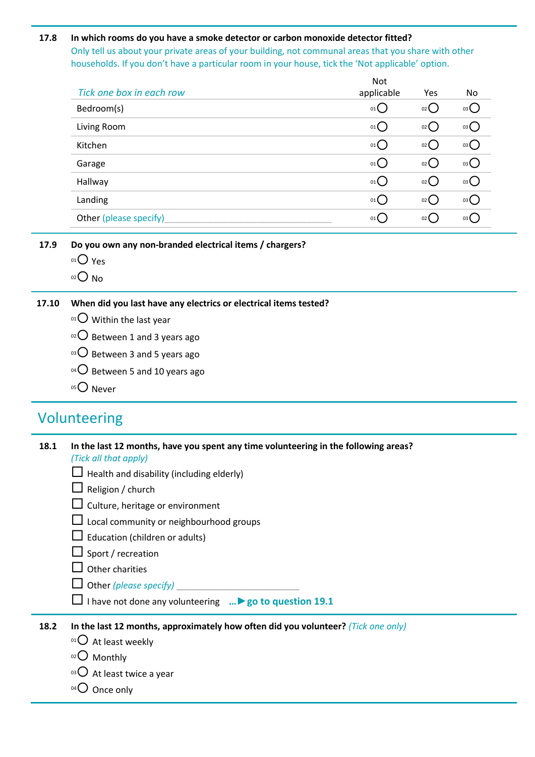### **17.8 In which rooms do you have a smoke detector or carbon monoxide detector fitted?**  Only tell us about your private areas of your building, not communal areas that you share with other households. If you don't have a particular room in your house, tick the 'Not applicable' option.

|                          | <b>Not</b> |                     |                   |
|--------------------------|------------|---------------------|-------------------|
| Tick one box in each row | applicable | Yes                 | No                |
| Bedroom(s)               | 01()       | 02()                | 03                |
| Living Room              | 01()       | 02                  | 03                |
| Kitchen                  | 01()       | 02()                | 03 <sup>o</sup>   |
| Garage                   | 01()       | $02$ $\left($       | $03$ <sup>O</sup> |
| Hallway                  | 01()       | 02()                | 03                |
| Landing                  | 01()       | $02$ $\binom{1}{2}$ | 03                |
| Other (please specify)   | 01()       | 02                  | 03()              |
|                          |            |                     |                   |

Not

- **17.9 Do you own any non-branded electrical items / chargers?**
	- 01 Yes
	- $02$  No

### **17.10 When did you last have any electrics or electrical items tested?**

- $01$  Within the last year
- $02$  Between 1 and 3 years ago
- $03$  Between 3 and 5 years ago
- $^{04}$ O Between 5 and 10 years ago
- 05<sup>O</sup> Never

## Volunteering

| 18.1 | In the last 12 months, have you spent any time volunteering in the following areas?<br>(Tick all that apply) |
|------|--------------------------------------------------------------------------------------------------------------|
|      | $\Box$ Health and disability (including elderly)                                                             |
|      | $\Box$ Religion / church                                                                                     |
|      | $\Box$ Culture, heritage or environment                                                                      |
|      | $\Box$ Local community or neighbourhood groups                                                               |
|      | $\Box$ Education (children or adults)                                                                        |
|      | $\Box$ Sport / recreation                                                                                    |
|      | $\Box$ Other charities                                                                                       |
|      | $\Box$ Other (please specify)                                                                                |
|      | $\Box$ I have not done any volunteering $\triangleright$ go to question 19.1                                 |
| 18.2 | In the last 12 months, approximately how often did you volunteer? (Tick one only)                            |
|      | $0101$ At least weekly                                                                                       |
|      | Monthly                                                                                                      |

- $03$  At least twice a year
- $04$  Once only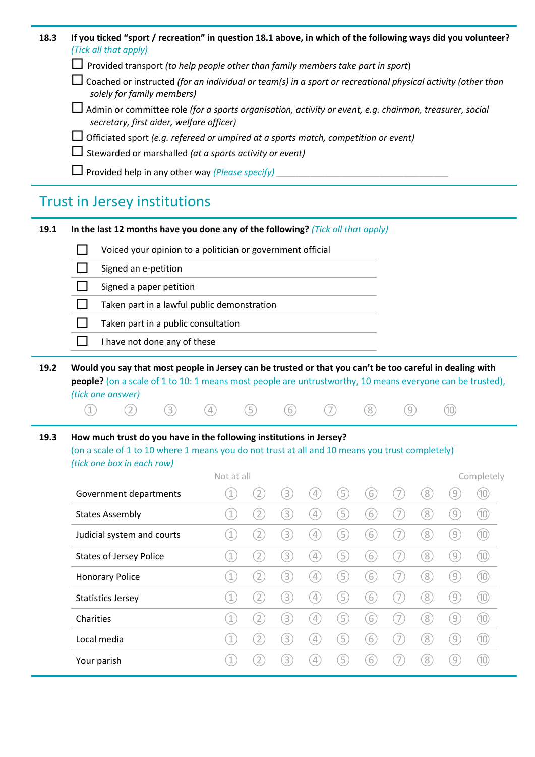| 18.3 | If you ticked "sport / recreation" in question 18.1 above, in which of the following ways did you volunteer?                                               |
|------|------------------------------------------------------------------------------------------------------------------------------------------------------------|
|      | (Tick all that apply)                                                                                                                                      |
|      | $\Box$ Provided transport (to help people other than family members take part in sport)                                                                    |
|      | $\Box$ Coached or instructed (for an individual or team(s) in a sport or recreational physical activity (other than<br>solely for family members)          |
|      | $\Box$ Admin or committee role (for a sports organisation, activity or event, e.g. chairman, treasurer, social<br>secretary, first aider, welfare officer) |
|      | $\Box$ Officiated sport (e.g. refereed or umpired at a sports match, competition or event)                                                                 |
|      | $\Box$ Stewarded or marshalled (at a sports activity or event)                                                                                             |
|      | $\Box$ Provided help in any other way (Please specify)                                                                                                     |

## Trust in Jersey institutions

#### **19.1 In the last 12 months have you done any of the following?** *(Tick all that apply)*

| Voiced your opinion to a politician or government official |
|------------------------------------------------------------|
| Signed an e-petition                                       |
| Signed a paper petition                                    |
| Taken part in a lawful public demonstration                |
| Taken part in a public consultation                        |
| I have not done any of these                               |

**19.2 Would you say that most people in Jersey can be trusted or that you can't be too careful in dealing with people?** (on a scale of 1 to 10: 1 means most people are untrustworthy, 10 means everyone can be trusted), *(tick one answer)*

① ② ③ ④ ⑤ ⑥ ⑦ ⑧ ⑨ ⑩

### **19.3 How much trust do you have in the following institutions in Jersey?**

(on a scale of 1 to 10 where 1 means you do not trust at all and 10 means you trust completely) *(tick one box in each row)*

|                                | Not at all  |                   |                  |                                                                                                                                                                                                                                                                                                                                                                                   |             |                |   |                  |                  | Completely |
|--------------------------------|-------------|-------------------|------------------|-----------------------------------------------------------------------------------------------------------------------------------------------------------------------------------------------------------------------------------------------------------------------------------------------------------------------------------------------------------------------------------|-------------|----------------|---|------------------|------------------|------------|
| Government departments         |             | $\left( 2\right)$ | $\left[3\right]$ | $[4] \centering% \includegraphics[width=1.0\textwidth]{images/TrDiM1.png} \caption{The figure shows the number of parameters in the left and right. The left is the number of parameters in the right.} \label{TrDiM2}$                                                                                                                                                           | 5           | 6              | 7 | 8                | $\left[9\right]$ | (10)       |
| <b>States Assembly</b>         | 1           | $^{(2)}$          | $\left[3\right]$ | $[4] \centering% \includegraphics[width=1.0\textwidth]{images/TrDiM1.png} \caption{The figure shows the number of parameters in the left and right. The left is the number of parameters in the right.} \label{TrDiM2}$                                                                                                                                                           | 5           | 6              | 7 | $\left[8\right]$ | $\left[9\right]$ | (10)       |
| Judicial system and courts     | 1           | $\left( 2\right)$ | $\left[3\right]$ | $\left[ 4\right] % \includegraphics[width=0.9\textwidth]{images/TrDiM-Architecture.png} \caption{The first two different values of $A$ and $A$ is the same as in Figure \ref{fig:13}. The first two different values of $A$ is the same as in Figure \ref{fig:13}. The second two different values of $A$ is the same as in Figure \ref{fig:13}.} \label{fig:TrDiM-Architecture}$ | ί5          | 6              | 7 | 8                | $\left[9\right]$ | (10)       |
| <b>States of Jersey Police</b> |             | $\overline{2}$    | $\left[3\right]$ | $\left[ 4\right] % \includegraphics[width=0.9\textwidth]{images/TrDiM-Architecture.png} \caption{The first two different values of $A$ and $A$ is the same as in Figure \ref{fig:13}. The first two different values of $A$ is the same as in Figure \ref{fig:13}. The second two different values of $A$ is the same as in Figure \ref{fig:13}.} \label{fig:TrDiM-Architecture}$ | 5           | 6              | 7 | $\left[8\right]$ | $\left(9\right)$ | (10)       |
| <b>Honorary Police</b>         | $\mathbf 1$ |                   | $\boxed{3}$      | $[4] \centering% \includegraphics[width=1.0\textwidth]{images/TransY.pdf}% \caption{The figure shows the results of the estimators in the left and right. The left and right is the same as in the right.} \label{fig:class}$                                                                                                                                                     | 5           | $\overline{6}$ | 7 | 8                | $\left[9\right]$ | (10)       |
| <b>Statistics Jersey</b>       | 1           | 2                 | $\boxed{3}$      | $[4] \centering% \includegraphics[width=1.0\textwidth]{images/TransY.pdf}% \caption{The figure shows the results of the estimators in the left and right. The left and right is the same as in the right.} \label{fig:class}$                                                                                                                                                     | 5           | $6^{\circ}$    | 7 | 8                | $\left[9\right]$ | (10)       |
| Charities                      |             | $\sqrt{2}$        | $\left[3\right]$ | $\boxed{4}$                                                                                                                                                                                                                                                                                                                                                                       | $\boxed{5}$ | 6              | 7 | 8                | $\left[9\right]$ | (10)       |
| Local media                    |             | $\overline{2}$    | $\boxed{3}$      | $\boxed{4}$                                                                                                                                                                                                                                                                                                                                                                       | $\boxed{5}$ | 6              | 7 | 8                | $\left(9\right)$ | (10)       |
| Your parish                    |             |                   | 3                | $\overline{4}$                                                                                                                                                                                                                                                                                                                                                                    | 5           | 6              |   | 8                | ั9               | (10)       |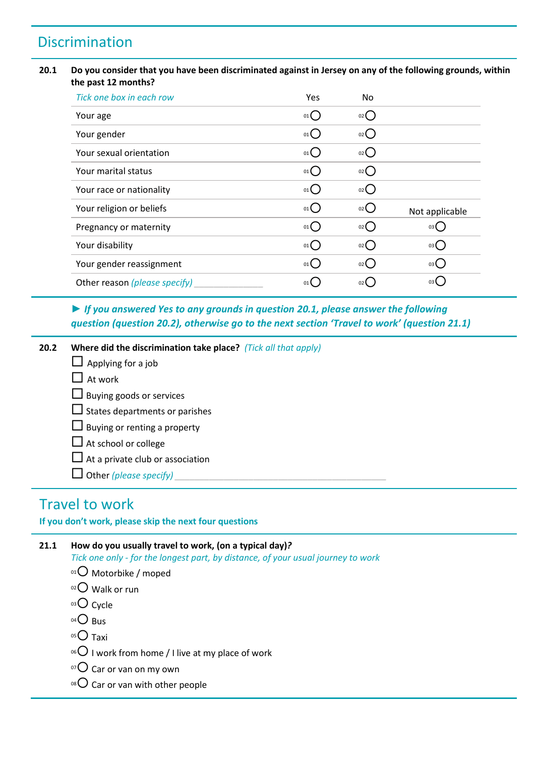## Discrimination

### **20.1 Do you consider that you have been discriminated against in Jersey on any of the following grounds, within the past 12 months?**

| Tick one box in each row      | <b>Yes</b>      | No.                |                |
|-------------------------------|-----------------|--------------------|----------------|
| Your age                      | $01$ $\bigcirc$ | $_{02}$ ()         |                |
| Your gender                   | $_{01}O$        | $_{02}$ $\bigcirc$ |                |
| Your sexual orientation       | 01()            | 02()               |                |
| Your marital status           | $_{01}$ $O$     | 02()               |                |
| Your race or nationality      | 01              | $_{02}$ $\bigcirc$ |                |
| Your religion or beliefs      | $_{01}()$       | $_{02}$ ( )        | Not applicable |
| Pregnancy or maternity        | $_{01}$ $O$     | 02()               | 03()           |
| Your disability               | $_{01}O$        | $_{02}$ ()         | 03             |
| Your gender reassignment      | $_{01}()$       | $_{02}$ ()         | 03             |
| Other reason (please specify) | 01(             | 02 <b>(</b>        | 03 (           |

*► If you answered Yes to any grounds in question 20.1, please answer the following question (question 20.2), otherwise go to the next section 'Travel to work' (question 21.1)*

**20.2 Where did the discrimination take place?** *(Tick all that apply)*

- $\Box$  Applying for a job
- $\Box$  At work
- $\Box$  Buying goods or services
- $\square$  States departments or parishes
- $\Box$  Buying or renting a property
- $\Box$  At school or college
- $\Box$  At a private club or association
- $\Box$  Other *(please specify)*

### Travel to work

**If you don't work, please skip the next four questions**

### **21.1 How do you usually travel to work, (on a typical day)***?*

*Tick one only - for the longest part, by distance, of your usual journey to work*

- $01$  Motorbike / moped
- 02 Walk or run
- $03$  Cycle
- $04$  Bus
- $05$  Taxi
- <sup>06</sup> I work from home / I live at my place of work
- $\sigma$  Car or van on my own
- $08$  Car or van with other people